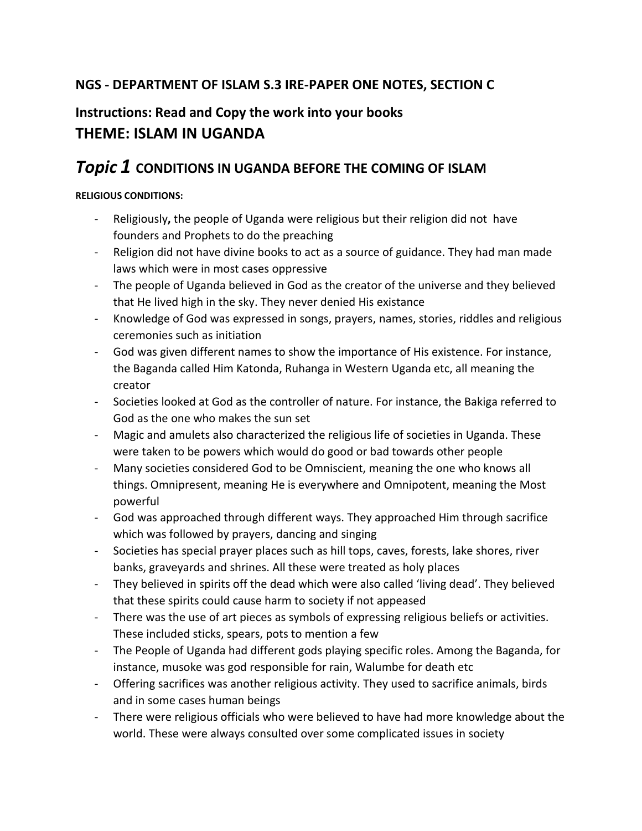## **NGS - DEPARTMENT OF ISLAM S.3 IRE-PAPER ONE NOTES, SECTION C**

# **Instructions: Read and Copy the work into your books THEME: ISLAM IN UGANDA**

## *Topic 1* **CONDITIONS IN UGANDA BEFORE THE COMING OF ISLAM**

#### **RELIGIOUS CONDITIONS:**

- Religiously**,** the people of Uganda were religious but their religion did not have founders and Prophets to do the preaching
- Religion did not have divine books to act as a source of guidance. They had man made laws which were in most cases oppressive
- The people of Uganda believed in God as the creator of the universe and they believed that He lived high in the sky. They never denied His existance
- Knowledge of God was expressed in songs, prayers, names, stories, riddles and religious ceremonies such as initiation
- God was given different names to show the importance of His existence. For instance, the Baganda called Him Katonda, Ruhanga in Western Uganda etc, all meaning the creator
- Societies looked at God as the controller of nature. For instance, the Bakiga referred to God as the one who makes the sun set
- Magic and amulets also characterized the religious life of societies in Uganda. These were taken to be powers which would do good or bad towards other people
- Many societies considered God to be Omniscient, meaning the one who knows all things. Omnipresent, meaning He is everywhere and Omnipotent, meaning the Most powerful
- God was approached through different ways. They approached Him through sacrifice which was followed by prayers, dancing and singing
- Societies has special prayer places such as hill tops, caves, forests, lake shores, river banks, graveyards and shrines. All these were treated as holy places
- They believed in spirits off the dead which were also called 'living dead'. They believed that these spirits could cause harm to society if not appeased
- There was the use of art pieces as symbols of expressing religious beliefs or activities. These included sticks, spears, pots to mention a few
- The People of Uganda had different gods playing specific roles. Among the Baganda, for instance, musoke was god responsible for rain, Walumbe for death etc
- Offering sacrifices was another religious activity. They used to sacrifice animals, birds and in some cases human beings
- There were religious officials who were believed to have had more knowledge about the world. These were always consulted over some complicated issues in society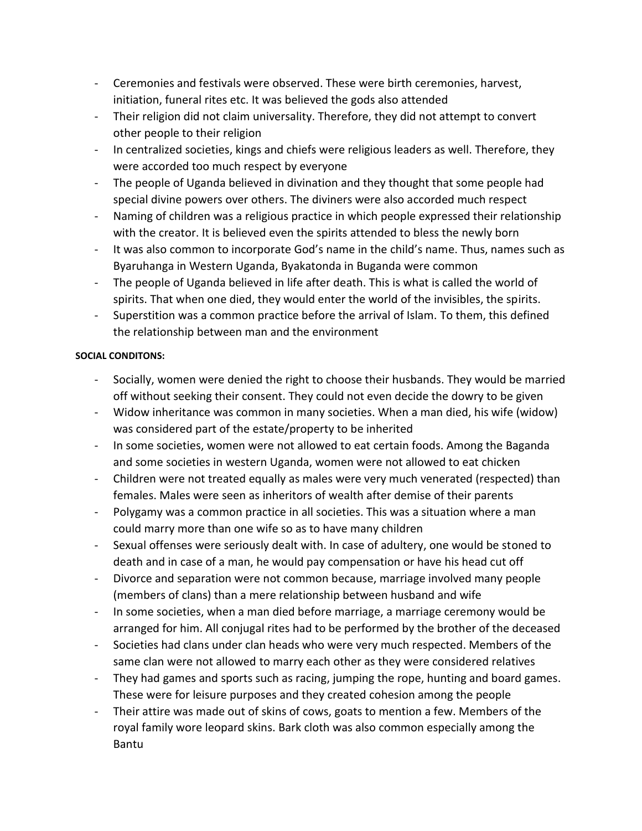- Ceremonies and festivals were observed. These were birth ceremonies, harvest, initiation, funeral rites etc. It was believed the gods also attended
- Their religion did not claim universality. Therefore, they did not attempt to convert other people to their religion
- In centralized societies, kings and chiefs were religious leaders as well. Therefore, they were accorded too much respect by everyone
- The people of Uganda believed in divination and they thought that some people had special divine powers over others. The diviners were also accorded much respect
- Naming of children was a religious practice in which people expressed their relationship with the creator. It is believed even the spirits attended to bless the newly born
- It was also common to incorporate God's name in the child's name. Thus, names such as Byaruhanga in Western Uganda, Byakatonda in Buganda were common
- The people of Uganda believed in life after death. This is what is called the world of spirits. That when one died, they would enter the world of the invisibles, the spirits.
- Superstition was a common practice before the arrival of Islam. To them, this defined the relationship between man and the environment

#### **SOCIAL CONDITONS:**

- Socially, women were denied the right to choose their husbands. They would be married off without seeking their consent. They could not even decide the dowry to be given
- Widow inheritance was common in many societies. When a man died, his wife (widow) was considered part of the estate/property to be inherited
- In some societies, women were not allowed to eat certain foods. Among the Baganda and some societies in western Uganda, women were not allowed to eat chicken
- Children were not treated equally as males were very much venerated (respected) than females. Males were seen as inheritors of wealth after demise of their parents
- Polygamy was a common practice in all societies. This was a situation where a man could marry more than one wife so as to have many children
- Sexual offenses were seriously dealt with. In case of adultery, one would be stoned to death and in case of a man, he would pay compensation or have his head cut off
- Divorce and separation were not common because, marriage involved many people (members of clans) than a mere relationship between husband and wife
- In some societies, when a man died before marriage, a marriage ceremony would be arranged for him. All conjugal rites had to be performed by the brother of the deceased
- Societies had clans under clan heads who were very much respected. Members of the same clan were not allowed to marry each other as they were considered relatives
- They had games and sports such as racing, jumping the rope, hunting and board games. These were for leisure purposes and they created cohesion among the people
- Their attire was made out of skins of cows, goats to mention a few. Members of the royal family wore leopard skins. Bark cloth was also common especially among the Bantu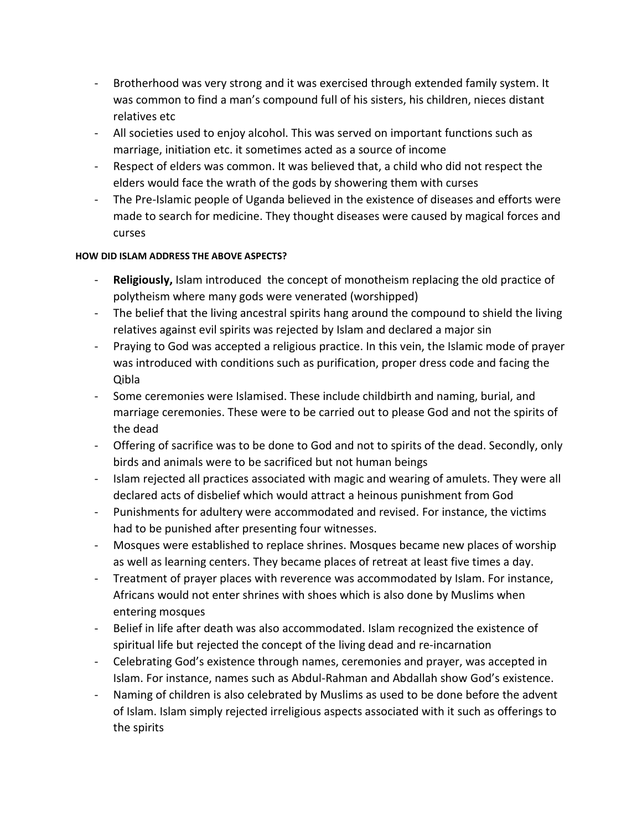- Brotherhood was very strong and it was exercised through extended family system. It was common to find a man's compound full of his sisters, his children, nieces distant relatives etc
- All societies used to enjoy alcohol. This was served on important functions such as marriage, initiation etc. it sometimes acted as a source of income
- Respect of elders was common. It was believed that, a child who did not respect the elders would face the wrath of the gods by showering them with curses
- The Pre-Islamic people of Uganda believed in the existence of diseases and efforts were made to search for medicine. They thought diseases were caused by magical forces and curses

#### **HOW DID ISLAM ADDRESS THE ABOVE ASPECTS?**

- Religiously, Islam introduced the concept of monotheism replacing the old practice of polytheism where many gods were venerated (worshipped)
- The belief that the living ancestral spirits hang around the compound to shield the living relatives against evil spirits was rejected by Islam and declared a major sin
- Praying to God was accepted a religious practice. In this vein, the Islamic mode of prayer was introduced with conditions such as purification, proper dress code and facing the Qibla
- Some ceremonies were Islamised. These include childbirth and naming, burial, and marriage ceremonies. These were to be carried out to please God and not the spirits of the dead
- Offering of sacrifice was to be done to God and not to spirits of the dead. Secondly, only birds and animals were to be sacrificed but not human beings
- Islam rejected all practices associated with magic and wearing of amulets. They were all declared acts of disbelief which would attract a heinous punishment from God
- Punishments for adultery were accommodated and revised. For instance, the victims had to be punished after presenting four witnesses.
- Mosques were established to replace shrines. Mosques became new places of worship as well as learning centers. They became places of retreat at least five times a day.
- Treatment of prayer places with reverence was accommodated by Islam. For instance, Africans would not enter shrines with shoes which is also done by Muslims when entering mosques
- Belief in life after death was also accommodated. Islam recognized the existence of spiritual life but rejected the concept of the living dead and re-incarnation
- Celebrating God's existence through names, ceremonies and prayer, was accepted in Islam. For instance, names such as Abdul-Rahman and Abdallah show God's existence.
- Naming of children is also celebrated by Muslims as used to be done before the advent of Islam. Islam simply rejected irreligious aspects associated with it such as offerings to the spirits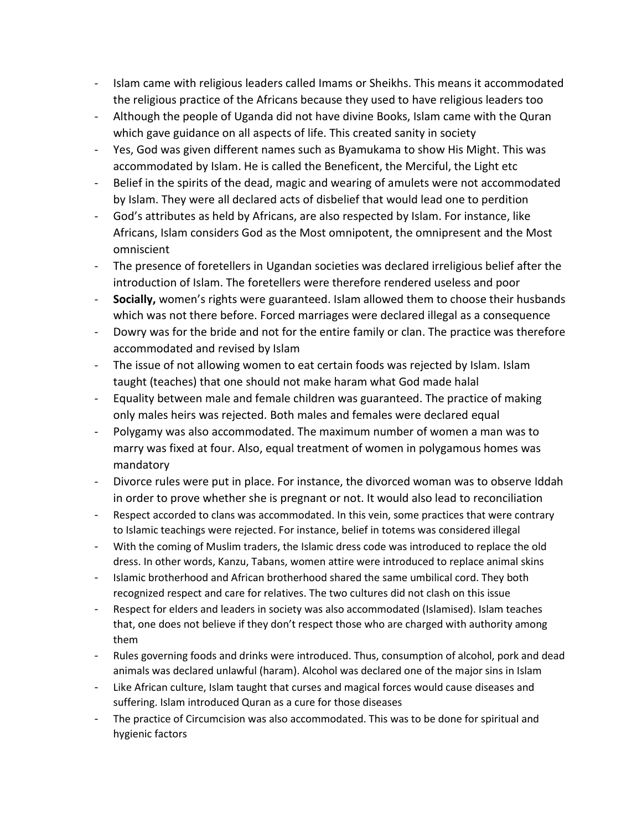- Islam came with religious leaders called Imams or Sheikhs. This means it accommodated the religious practice of the Africans because they used to have religious leaders too
- Although the people of Uganda did not have divine Books, Islam came with the Quran which gave guidance on all aspects of life. This created sanity in society
- Yes, God was given different names such as Byamukama to show His Might. This was accommodated by Islam. He is called the Beneficent, the Merciful, the Light etc
- Belief in the spirits of the dead, magic and wearing of amulets were not accommodated by Islam. They were all declared acts of disbelief that would lead one to perdition
- God's attributes as held by Africans, are also respected by Islam. For instance, like Africans, Islam considers God as the Most omnipotent, the omnipresent and the Most omniscient
- The presence of foretellers in Ugandan societies was declared irreligious belief after the introduction of Islam. The foretellers were therefore rendered useless and poor
- **Socially,** women's rights were guaranteed. Islam allowed them to choose their husbands which was not there before. Forced marriages were declared illegal as a consequence
- Dowry was for the bride and not for the entire family or clan. The practice was therefore accommodated and revised by Islam
- The issue of not allowing women to eat certain foods was rejected by Islam. Islam taught (teaches) that one should not make haram what God made halal
- Equality between male and female children was guaranteed. The practice of making only males heirs was rejected. Both males and females were declared equal
- Polygamy was also accommodated. The maximum number of women a man was to marry was fixed at four. Also, equal treatment of women in polygamous homes was mandatory
- Divorce rules were put in place. For instance, the divorced woman was to observe Iddah in order to prove whether she is pregnant or not. It would also lead to reconciliation
- Respect accorded to clans was accommodated. In this vein, some practices that were contrary to Islamic teachings were rejected. For instance, belief in totems was considered illegal
- With the coming of Muslim traders, the Islamic dress code was introduced to replace the old dress. In other words, Kanzu, Tabans, women attire were introduced to replace animal skins
- Islamic brotherhood and African brotherhood shared the same umbilical cord. They both recognized respect and care for relatives. The two cultures did not clash on this issue
- Respect for elders and leaders in society was also accommodated (Islamised). Islam teaches that, one does not believe if they don't respect those who are charged with authority among them
- Rules governing foods and drinks were introduced. Thus, consumption of alcohol, pork and dead animals was declared unlawful (haram). Alcohol was declared one of the major sins in Islam
- Like African culture, Islam taught that curses and magical forces would cause diseases and suffering. Islam introduced Quran as a cure for those diseases
- The practice of Circumcision was also accommodated. This was to be done for spiritual and hygienic factors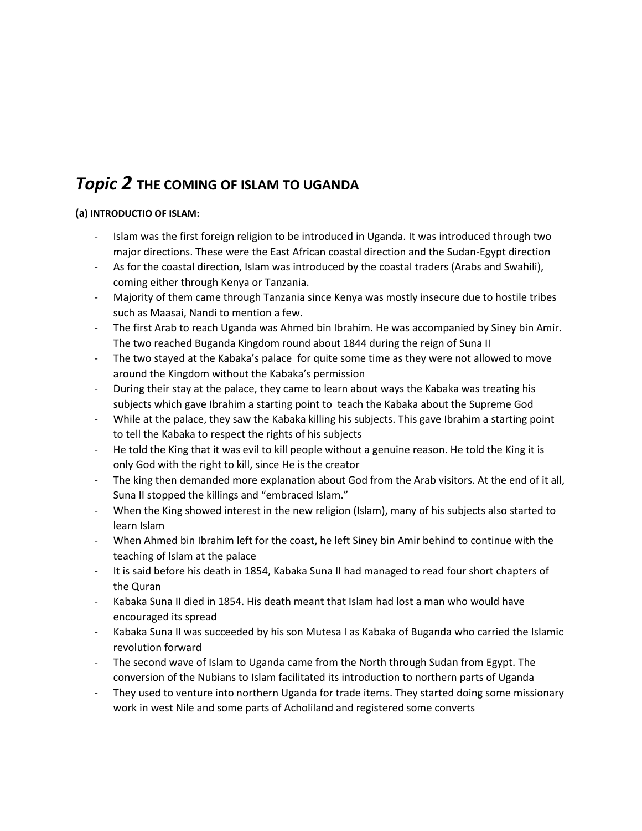# *Topic 2* **THE COMING OF ISLAM TO UGANDA**

#### **(a) INTRODUCTIO OF ISLAM:**

- Islam was the first foreign religion to be introduced in Uganda. It was introduced through two major directions. These were the East African coastal direction and the Sudan-Egypt direction
- As for the coastal direction, Islam was introduced by the coastal traders (Arabs and Swahili), coming either through Kenya or Tanzania.
- Majority of them came through Tanzania since Kenya was mostly insecure due to hostile tribes such as Maasai, Nandi to mention a few.
- The first Arab to reach Uganda was Ahmed bin Ibrahim. He was accompanied by Siney bin Amir. The two reached Buganda Kingdom round about 1844 during the reign of Suna II
- The two stayed at the Kabaka's palace for quite some time as they were not allowed to move around the Kingdom without the Kabaka's permission
- During their stay at the palace, they came to learn about ways the Kabaka was treating his subjects which gave Ibrahim a starting point to teach the Kabaka about the Supreme God
- While at the palace, they saw the Kabaka killing his subjects. This gave Ibrahim a starting point to tell the Kabaka to respect the rights of his subjects
- He told the King that it was evil to kill people without a genuine reason. He told the King it is only God with the right to kill, since He is the creator
- The king then demanded more explanation about God from the Arab visitors. At the end of it all, Suna II stopped the killings and "embraced Islam."
- When the King showed interest in the new religion (Islam), many of his subjects also started to learn Islam
- When Ahmed bin Ibrahim left for the coast, he left Siney bin Amir behind to continue with the teaching of Islam at the palace
- It is said before his death in 1854, Kabaka Suna II had managed to read four short chapters of the Quran
- Kabaka Suna II died in 1854. His death meant that Islam had lost a man who would have encouraged its spread
- Kabaka Suna II was succeeded by his son Mutesa I as Kabaka of Buganda who carried the Islamic revolution forward
- The second wave of Islam to Uganda came from the North through Sudan from Egypt. The conversion of the Nubians to Islam facilitated its introduction to northern parts of Uganda
- They used to venture into northern Uganda for trade items. They started doing some missionary work in west Nile and some parts of Acholiland and registered some converts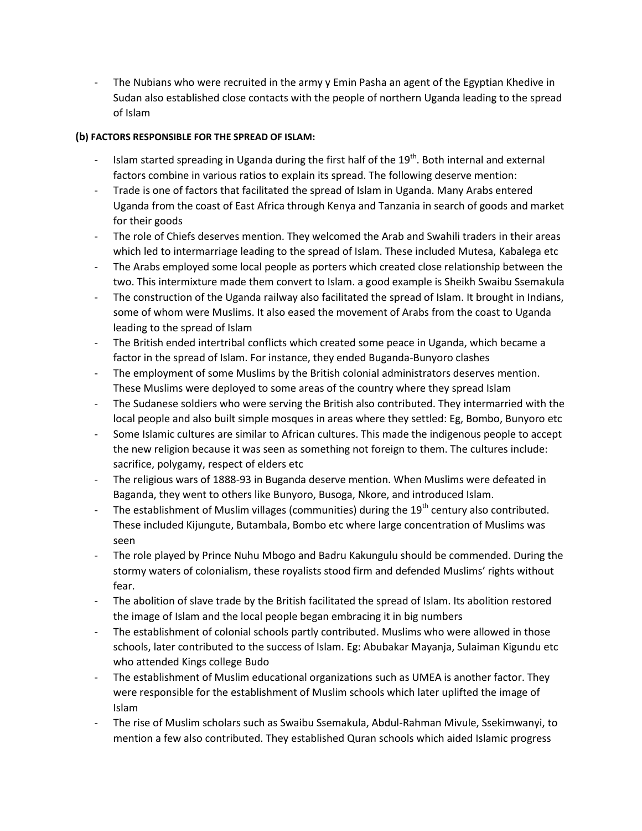The Nubians who were recruited in the army y Emin Pasha an agent of the Egyptian Khedive in Sudan also established close contacts with the people of northern Uganda leading to the spread of Islam

#### **(b) FACTORS RESPONSIBLE FOR THE SPREAD OF ISLAM:**

- Islam started spreading in Uganda during the first half of the  $19<sup>th</sup>$ . Both internal and external factors combine in various ratios to explain its spread. The following deserve mention:
- Trade is one of factors that facilitated the spread of Islam in Uganda. Many Arabs entered Uganda from the coast of East Africa through Kenya and Tanzania in search of goods and market for their goods
- The role of Chiefs deserves mention. They welcomed the Arab and Swahili traders in their areas which led to intermarriage leading to the spread of Islam. These included Mutesa, Kabalega etc
- The Arabs employed some local people as porters which created close relationship between the two. This intermixture made them convert to Islam. a good example is Sheikh Swaibu Ssemakula
- The construction of the Uganda railway also facilitated the spread of Islam. It brought in Indians, some of whom were Muslims. It also eased the movement of Arabs from the coast to Uganda leading to the spread of Islam
- The British ended intertribal conflicts which created some peace in Uganda, which became a factor in the spread of Islam. For instance, they ended Buganda-Bunyoro clashes
- The employment of some Muslims by the British colonial administrators deserves mention. These Muslims were deployed to some areas of the country where they spread Islam
- The Sudanese soldiers who were serving the British also contributed. They intermarried with the local people and also built simple mosques in areas where they settled: Eg, Bombo, Bunyoro etc
- Some Islamic cultures are similar to African cultures. This made the indigenous people to accept the new religion because it was seen as something not foreign to them. The cultures include: sacrifice, polygamy, respect of elders etc
- The religious wars of 1888-93 in Buganda deserve mention. When Muslims were defeated in Baganda, they went to others like Bunyoro, Busoga, Nkore, and introduced Islam.
- The establishment of Muslim villages (communities) during the 19<sup>th</sup> century also contributed. These included Kijungute, Butambala, Bombo etc where large concentration of Muslims was seen
- The role played by Prince Nuhu Mbogo and Badru Kakungulu should be commended. During the stormy waters of colonialism, these royalists stood firm and defended Muslims' rights without fear.
- The abolition of slave trade by the British facilitated the spread of Islam. Its abolition restored the image of Islam and the local people began embracing it in big numbers
- The establishment of colonial schools partly contributed. Muslims who were allowed in those schools, later contributed to the success of Islam. Eg: Abubakar Mayanja, Sulaiman Kigundu etc who attended Kings college Budo
- The establishment of Muslim educational organizations such as UMEA is another factor. They were responsible for the establishment of Muslim schools which later uplifted the image of Islam
- The rise of Muslim scholars such as Swaibu Ssemakula, Abdul-Rahman Mivule, Ssekimwanyi, to mention a few also contributed. They established Quran schools which aided Islamic progress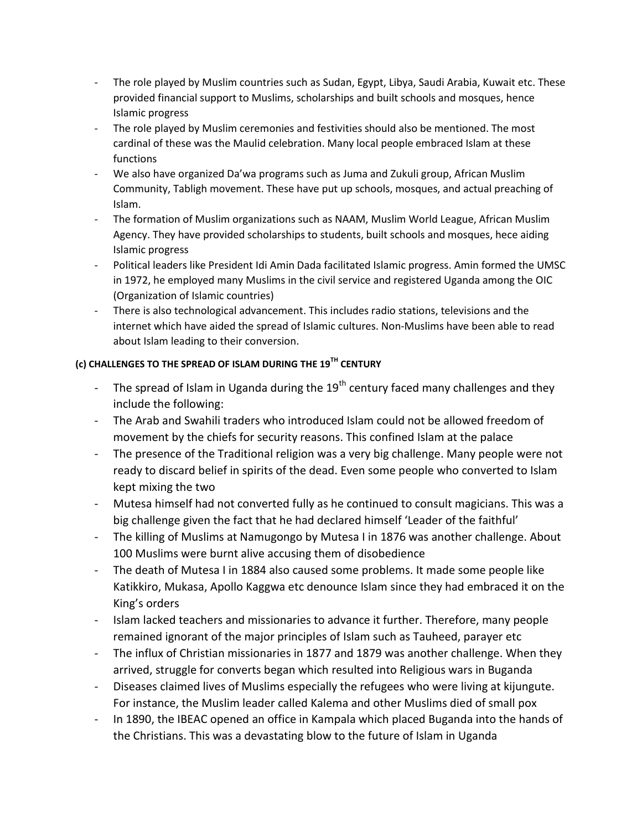- The role played by Muslim countries such as Sudan, Egypt, Libya, Saudi Arabia, Kuwait etc. These provided financial support to Muslims, scholarships and built schools and mosques, hence Islamic progress
- The role played by Muslim ceremonies and festivities should also be mentioned. The most cardinal of these was the Maulid celebration. Many local people embraced Islam at these functions
- We also have organized Da'wa programs such as Juma and Zukuli group, African Muslim Community, Tabligh movement. These have put up schools, mosques, and actual preaching of Islam.
- The formation of Muslim organizations such as NAAM, Muslim World League, African Muslim Agency. They have provided scholarships to students, built schools and mosques, hece aiding Islamic progress
- Political leaders like President Idi Amin Dada facilitated Islamic progress. Amin formed the UMSC in 1972, he employed many Muslims in the civil service and registered Uganda among the OIC (Organization of Islamic countries)
- There is also technological advancement. This includes radio stations, televisions and the internet which have aided the spread of Islamic cultures. Non-Muslims have been able to read about Islam leading to their conversion.

#### **(c) CHALLENGES TO THE SPREAD OF ISLAM DURING THE 19TH CENTURY**

- The spread of Islam in Uganda during the  $19<sup>th</sup>$  century faced many challenges and they include the following:
- The Arab and Swahili traders who introduced Islam could not be allowed freedom of movement by the chiefs for security reasons. This confined Islam at the palace
- The presence of the Traditional religion was a very big challenge. Many people were not ready to discard belief in spirits of the dead. Even some people who converted to Islam kept mixing the two
- Mutesa himself had not converted fully as he continued to consult magicians. This was a big challenge given the fact that he had declared himself 'Leader of the faithful'
- The killing of Muslims at Namugongo by Mutesa I in 1876 was another challenge. About 100 Muslims were burnt alive accusing them of disobedience
- The death of Mutesa I in 1884 also caused some problems. It made some people like Katikkiro, Mukasa, Apollo Kaggwa etc denounce Islam since they had embraced it on the King's orders
- Islam lacked teachers and missionaries to advance it further. Therefore, many people remained ignorant of the major principles of Islam such as Tauheed, parayer etc
- The influx of Christian missionaries in 1877 and 1879 was another challenge. When they arrived, struggle for converts began which resulted into Religious wars in Buganda
- Diseases claimed lives of Muslims especially the refugees who were living at kijungute. For instance, the Muslim leader called Kalema and other Muslims died of small pox
- In 1890, the IBEAC opened an office in Kampala which placed Buganda into the hands of the Christians. This was a devastating blow to the future of Islam in Uganda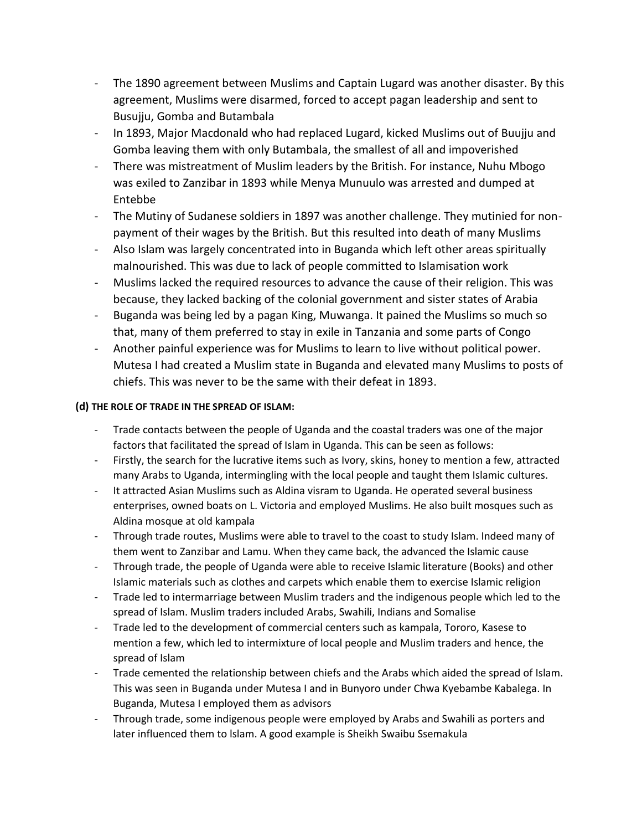- The 1890 agreement between Muslims and Captain Lugard was another disaster. By this agreement, Muslims were disarmed, forced to accept pagan leadership and sent to Busujju, Gomba and Butambala
- In 1893, Major Macdonald who had replaced Lugard, kicked Muslims out of Buujju and Gomba leaving them with only Butambala, the smallest of all and impoverished
- There was mistreatment of Muslim leaders by the British. For instance, Nuhu Mbogo was exiled to Zanzibar in 1893 while Menya Munuulo was arrested and dumped at Entebbe
- The Mutiny of Sudanese soldiers in 1897 was another challenge. They mutinied for nonpayment of their wages by the British. But this resulted into death of many Muslims
- Also Islam was largely concentrated into in Buganda which left other areas spiritually malnourished. This was due to lack of people committed to Islamisation work
- Muslims lacked the required resources to advance the cause of their religion. This was because, they lacked backing of the colonial government and sister states of Arabia
- Buganda was being led by a pagan King, Muwanga. It pained the Muslims so much so that, many of them preferred to stay in exile in Tanzania and some parts of Congo
- Another painful experience was for Muslims to learn to live without political power. Mutesa I had created a Muslim state in Buganda and elevated many Muslims to posts of chiefs. This was never to be the same with their defeat in 1893.

#### **(d) THE ROLE OF TRADE IN THE SPREAD OF ISLAM:**

- Trade contacts between the people of Uganda and the coastal traders was one of the major factors that facilitated the spread of Islam in Uganda. This can be seen as follows:
- Firstly, the search for the lucrative items such as Ivory, skins, honey to mention a few, attracted many Arabs to Uganda, intermingling with the local people and taught them Islamic cultures.
- It attracted Asian Muslims such as Aldina visram to Uganda. He operated several business enterprises, owned boats on L. Victoria and employed Muslims. He also built mosques such as Aldina mosque at old kampala
- Through trade routes, Muslims were able to travel to the coast to study Islam. Indeed many of them went to Zanzibar and Lamu. When they came back, the advanced the Islamic cause
- Through trade, the people of Uganda were able to receive Islamic literature (Books) and other Islamic materials such as clothes and carpets which enable them to exercise Islamic religion
- Trade led to intermarriage between Muslim traders and the indigenous people which led to the spread of Islam. Muslim traders included Arabs, Swahili, Indians and Somalise
- Trade led to the development of commercial centers such as kampala, Tororo, Kasese to mention a few, which led to intermixture of local people and Muslim traders and hence, the spread of Islam
- Trade cemented the relationship between chiefs and the Arabs which aided the spread of Islam. This was seen in Buganda under Mutesa I and in Bunyoro under Chwa Kyebambe Kabalega. In Buganda, Mutesa I employed them as advisors
- Through trade, some indigenous people were employed by Arabs and Swahili as porters and later influenced them to lslam. A good example is Sheikh Swaibu Ssemakula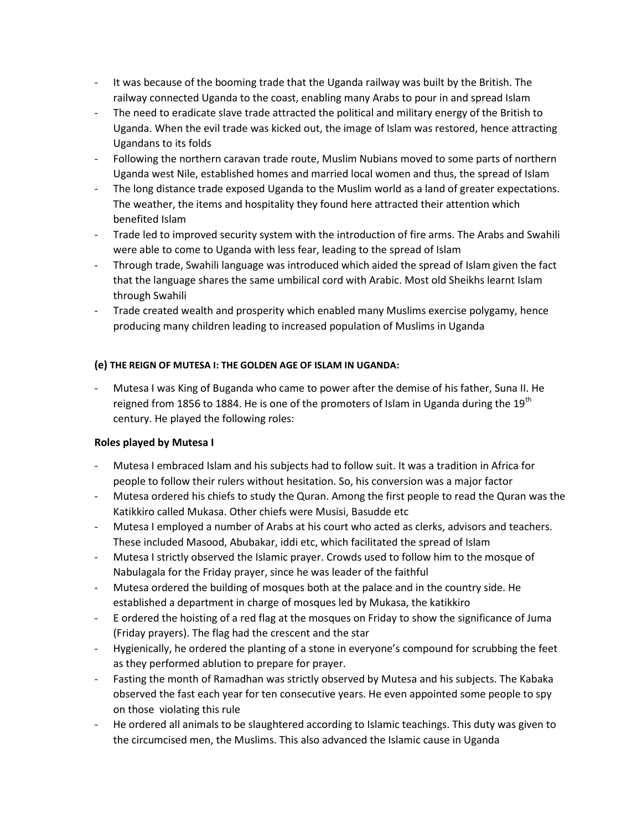- It was because of the booming trade that the Uganda railway was built by the British. The railway connected Uganda to the coast, enabling many Arabs to pour in and spread Islam
- The need to eradicate slave trade attracted the political and military energy of the British to Uganda. When the evil trade was kicked out, the image of Islam was restored, hence attracting Ugandans to its folds
- Following the northern caravan trade route, Muslim Nubians moved to some parts of northern Uganda west Nile, established homes and married local women and thus, the spread of Islam
- The long distance trade exposed Uganda to the Muslim world as a land of greater expectations. The weather, the items and hospitality they found here attracted their attention which benefited Islam
- Trade led to improved security system with the introduction of fire arms. The Arabs and Swahili were able to come to Uganda with less fear, leading to the spread of Islam
- Through trade, Swahili language was introduced which aided the spread of Islam given the fact that the language shares the same umbilical cord with Arabic. Most old Sheikhs learnt Islam through Swahili
- Trade created wealth and prosperity which enabled many Muslims exercise polygamy, hence producing many children leading to increased population of Muslims in Uganda

#### **(e) THE REIGN OF MUTESA I: THE GOLDEN AGE OF ISLAM IN UGANDA:**

Mutesa I was King of Buganda who came to power after the demise of his father, Suna II. He reigned from 1856 to 1884. He is one of the promoters of Islam in Uganda during the  $19^{th}$ century. He played the following roles:

#### **Roles played by Mutesa I**

- Mutesa I embraced Islam and his subjects had to follow suit. It was a tradition in Africa for people to follow their rulers without hesitation. So, his conversion was a major factor
- Mutesa ordered his chiefs to study the Quran. Among the first people to read the Quran was the Katikkiro called Mukasa. Other chiefs were Musisi, Basudde etc
- Mutesa I employed a number of Arabs at his court who acted as clerks, advisors and teachers. These included Masood, Abubakar, iddi etc, which facilitated the spread of Islam
- Mutesa I strictly observed the Islamic prayer. Crowds used to follow him to the mosque of Nabulagala for the Friday prayer, since he was leader of the faithful
- Mutesa ordered the building of mosques both at the palace and in the country side. He established a department in charge of mosques led by Mukasa, the katikkiro
- E ordered the hoisting of a red flag at the mosques on Friday to show the significance of Juma (Friday prayers). The flag had the crescent and the star
- Hygienically, he ordered the planting of a stone in everyone's compound for scrubbing the feet as they performed ablution to prepare for prayer.
- Fasting the month of Ramadhan was strictly observed by Mutesa and his subjects. The Kabaka observed the fast each year for ten consecutive years. He even appointed some people to spy on those violating this rule
- He ordered all animals to be slaughtered according to Islamic teachings. This duty was given to the circumcised men, the Muslims. This also advanced the Islamic cause in Uganda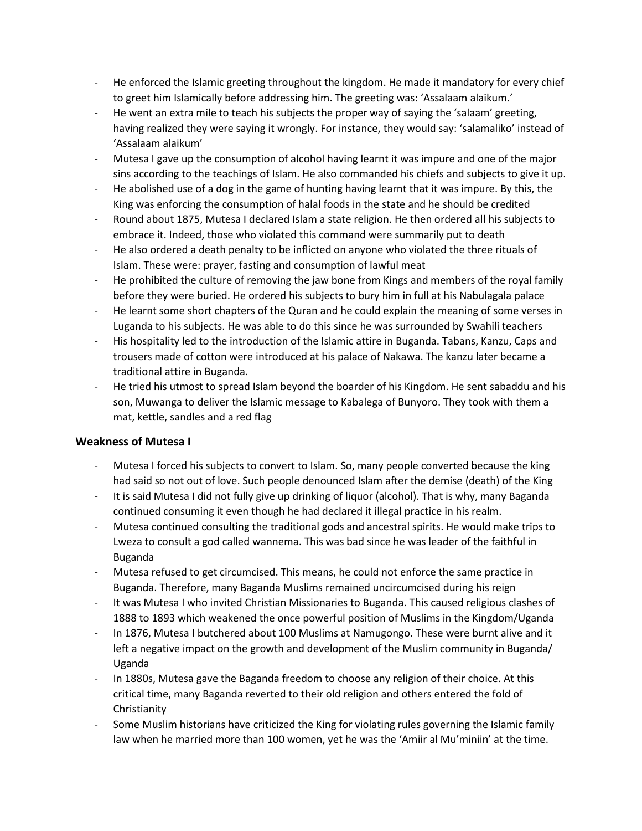- He enforced the Islamic greeting throughout the kingdom. He made it mandatory for every chief to greet him Islamically before addressing him. The greeting was: 'Assalaam alaikum.'
- He went an extra mile to teach his subjects the proper way of saying the 'salaam' greeting, having realized they were saying it wrongly. For instance, they would say: 'salamaliko' instead of 'Assalaam alaikum'
- Mutesa I gave up the consumption of alcohol having learnt it was impure and one of the major sins according to the teachings of Islam. He also commanded his chiefs and subjects to give it up.
- He abolished use of a dog in the game of hunting having learnt that it was impure. By this, the King was enforcing the consumption of halal foods in the state and he should be credited
- Round about 1875, Mutesa I declared Islam a state religion. He then ordered all his subjects to embrace it. Indeed, those who violated this command were summarily put to death
- He also ordered a death penalty to be inflicted on anyone who violated the three rituals of Islam. These were: prayer, fasting and consumption of lawful meat
- He prohibited the culture of removing the jaw bone from Kings and members of the royal family before they were buried. He ordered his subjects to bury him in full at his Nabulagala palace
- He learnt some short chapters of the Quran and he could explain the meaning of some verses in Luganda to his subjects. He was able to do this since he was surrounded by Swahili teachers
- His hospitality led to the introduction of the Islamic attire in Buganda. Tabans, Kanzu, Caps and trousers made of cotton were introduced at his palace of Nakawa. The kanzu later became a traditional attire in Buganda.
- He tried his utmost to spread Islam beyond the boarder of his Kingdom. He sent sabaddu and his son, Muwanga to deliver the Islamic message to Kabalega of Bunyoro. They took with them a mat, kettle, sandles and a red flag

#### **Weakness of Mutesa I**

- Mutesa I forced his subjects to convert to Islam. So, many people converted because the king had said so not out of love. Such people denounced Islam after the demise (death) of the King
- It is said Mutesa I did not fully give up drinking of liquor (alcohol). That is why, many Baganda continued consuming it even though he had declared it illegal practice in his realm.
- Mutesa continued consulting the traditional gods and ancestral spirits. He would make trips to Lweza to consult a god called wannema. This was bad since he was leader of the faithful in Buganda
- Mutesa refused to get circumcised. This means, he could not enforce the same practice in Buganda. Therefore, many Baganda Muslims remained uncircumcised during his reign
- It was Mutesa I who invited Christian Missionaries to Buganda. This caused religious clashes of 1888 to 1893 which weakened the once powerful position of Muslims in the Kingdom/Uganda
- In 1876, Mutesa I butchered about 100 Muslims at Namugongo. These were burnt alive and it left a negative impact on the growth and development of the Muslim community in Buganda/ Uganda
- In 1880s, Mutesa gave the Baganda freedom to choose any religion of their choice. At this critical time, many Baganda reverted to their old religion and others entered the fold of Christianity
- Some Muslim historians have criticized the King for violating rules governing the Islamic family law when he married more than 100 women, yet he was the 'Amiir al Mu'miniin' at the time.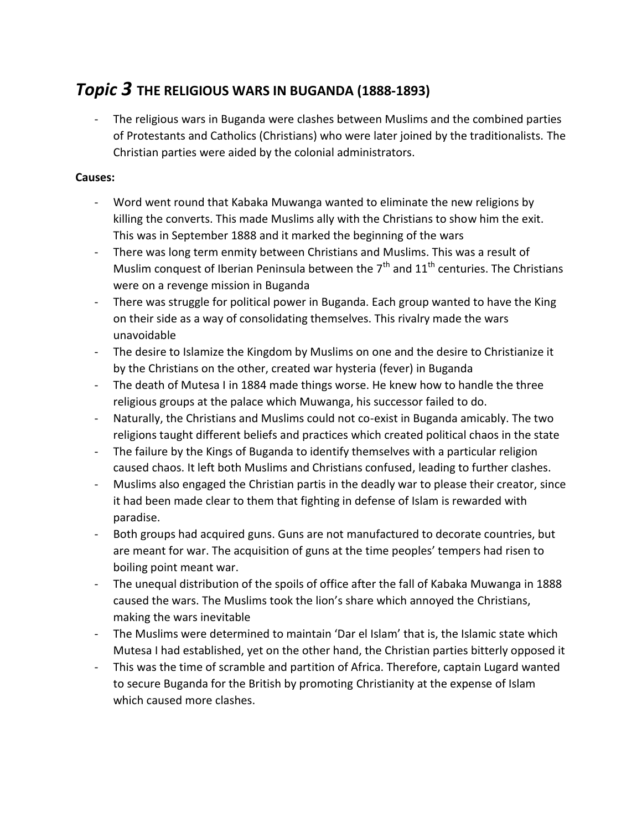# *Topic 3* **THE RELIGIOUS WARS IN BUGANDA (1888-1893)**

- The religious wars in Buganda were clashes between Muslims and the combined parties of Protestants and Catholics (Christians) who were later joined by the traditionalists. The Christian parties were aided by the colonial administrators.

#### **Causes:**

- Word went round that Kabaka Muwanga wanted to eliminate the new religions by killing the converts. This made Muslims ally with the Christians to show him the exit. This was in September 1888 and it marked the beginning of the wars
- There was long term enmity between Christians and Muslims. This was a result of Muslim conquest of Iberian Peninsula between the  $7<sup>th</sup>$  and  $11<sup>th</sup>$  centuries. The Christians were on a revenge mission in Buganda
- There was struggle for political power in Buganda. Each group wanted to have the King on their side as a way of consolidating themselves. This rivalry made the wars unavoidable
- The desire to Islamize the Kingdom by Muslims on one and the desire to Christianize it by the Christians on the other, created war hysteria (fever) in Buganda
- The death of Mutesa I in 1884 made things worse. He knew how to handle the three religious groups at the palace which Muwanga, his successor failed to do.
- Naturally, the Christians and Muslims could not co-exist in Buganda amicably. The two religions taught different beliefs and practices which created political chaos in the state
- The failure by the Kings of Buganda to identify themselves with a particular religion caused chaos. It left both Muslims and Christians confused, leading to further clashes.
- Muslims also engaged the Christian partis in the deadly war to please their creator, since it had been made clear to them that fighting in defense of Islam is rewarded with paradise.
- Both groups had acquired guns. Guns are not manufactured to decorate countries, but are meant for war. The acquisition of guns at the time peoples' tempers had risen to boiling point meant war.
- The unequal distribution of the spoils of office after the fall of Kabaka Muwanga in 1888 caused the wars. The Muslims took the lion's share which annoyed the Christians, making the wars inevitable
- The Muslims were determined to maintain 'Dar el Islam' that is, the Islamic state which Mutesa I had established, yet on the other hand, the Christian parties bitterly opposed it
- This was the time of scramble and partition of Africa. Therefore, captain Lugard wanted to secure Buganda for the British by promoting Christianity at the expense of Islam which caused more clashes.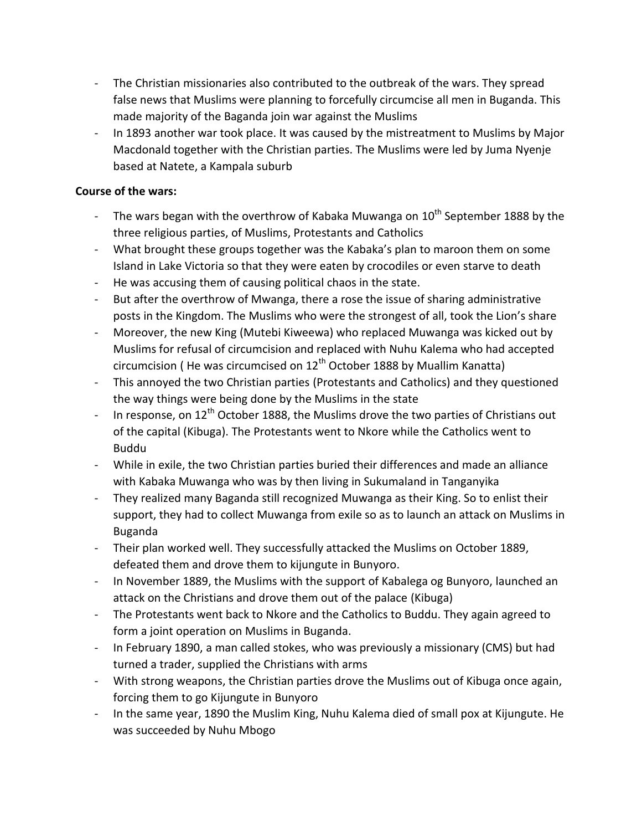- The Christian missionaries also contributed to the outbreak of the wars. They spread false news that Muslims were planning to forcefully circumcise all men in Buganda. This made majority of the Baganda join war against the Muslims
- In 1893 another war took place. It was caused by the mistreatment to Muslims by Major Macdonald together with the Christian parties. The Muslims were led by Juma Nyenje based at Natete, a Kampala suburb

#### **Course of the wars:**

- The wars began with the overthrow of Kabaka Muwanga on  $10^{th}$  September 1888 by the three religious parties, of Muslims, Protestants and Catholics
- What brought these groups together was the Kabaka's plan to maroon them on some Island in Lake Victoria so that they were eaten by crocodiles or even starve to death
- He was accusing them of causing political chaos in the state.
- But after the overthrow of Mwanga, there a rose the issue of sharing administrative posts in the Kingdom. The Muslims who were the strongest of all, took the Lion's share
- Moreover, the new King (Mutebi Kiweewa) who replaced Muwanga was kicked out by Muslims for refusal of circumcision and replaced with Nuhu Kalema who had accepted circumcision (He was circumcised on  $12<sup>th</sup>$  October 1888 by Muallim Kanatta)
- This annoyed the two Christian parties (Protestants and Catholics) and they questioned the way things were being done by the Muslims in the state
- In response, on  $12<sup>th</sup>$  October 1888, the Muslims drove the two parties of Christians out of the capital (Kibuga). The Protestants went to Nkore while the Catholics went to Buddu
- While in exile, the two Christian parties buried their differences and made an alliance with Kabaka Muwanga who was by then living in Sukumaland in Tanganyika
- They realized many Baganda still recognized Muwanga as their King. So to enlist their support, they had to collect Muwanga from exile so as to launch an attack on Muslims in Buganda
- Their plan worked well. They successfully attacked the Muslims on October 1889, defeated them and drove them to kijungute in Bunyoro.
- In November 1889, the Muslims with the support of Kabalega og Bunyoro, launched an attack on the Christians and drove them out of the palace (Kibuga)
- The Protestants went back to Nkore and the Catholics to Buddu. They again agreed to form a joint operation on Muslims in Buganda.
- In February 1890, a man called stokes, who was previously a missionary (CMS) but had turned a trader, supplied the Christians with arms
- With strong weapons, the Christian parties drove the Muslims out of Kibuga once again, forcing them to go Kijungute in Bunyoro
- In the same year, 1890 the Muslim King, Nuhu Kalema died of small pox at Kijungute. He was succeeded by Nuhu Mbogo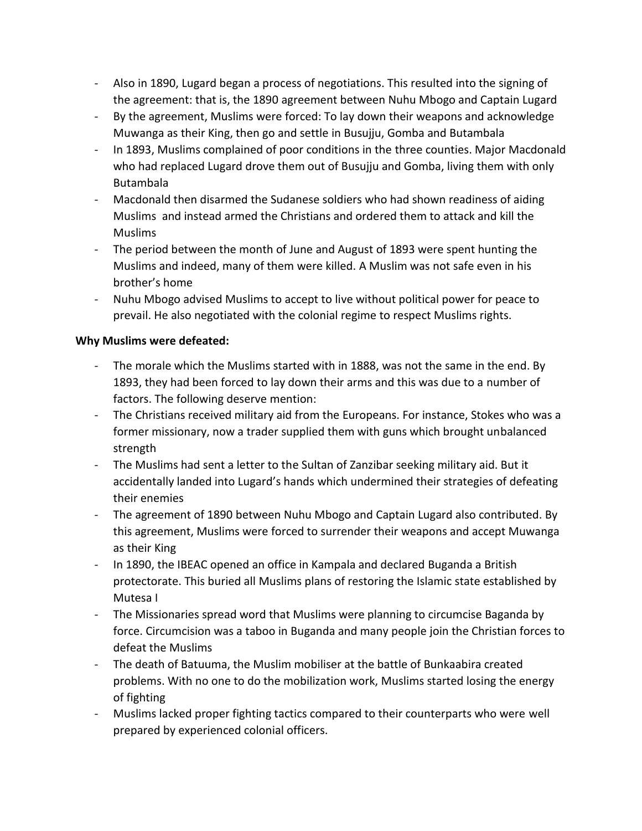- Also in 1890, Lugard began a process of negotiations. This resulted into the signing of the agreement: that is, the 1890 agreement between Nuhu Mbogo and Captain Lugard
- By the agreement, Muslims were forced: To lay down their weapons and acknowledge Muwanga as their King, then go and settle in Busujju, Gomba and Butambala
- In 1893, Muslims complained of poor conditions in the three counties. Major Macdonald who had replaced Lugard drove them out of Busujju and Gomba, living them with only Butambala
- Macdonald then disarmed the Sudanese soldiers who had shown readiness of aiding Muslims and instead armed the Christians and ordered them to attack and kill the Muslims
- The period between the month of June and August of 1893 were spent hunting the Muslims and indeed, many of them were killed. A Muslim was not safe even in his brother's home
- Nuhu Mbogo advised Muslims to accept to live without political power for peace to prevail. He also negotiated with the colonial regime to respect Muslims rights.

#### **Why Muslims were defeated:**

- The morale which the Muslims started with in 1888, was not the same in the end. By 1893, they had been forced to lay down their arms and this was due to a number of factors. The following deserve mention:
- The Christians received military aid from the Europeans. For instance, Stokes who was a former missionary, now a trader supplied them with guns which brought unbalanced strength
- The Muslims had sent a letter to the Sultan of Zanzibar seeking military aid. But it accidentally landed into Lugard's hands which undermined their strategies of defeating their enemies
- The agreement of 1890 between Nuhu Mbogo and Captain Lugard also contributed. By this agreement, Muslims were forced to surrender their weapons and accept Muwanga as their King
- In 1890, the IBEAC opened an office in Kampala and declared Buganda a British protectorate. This buried all Muslims plans of restoring the Islamic state established by Mutesa I
- The Missionaries spread word that Muslims were planning to circumcise Baganda by force. Circumcision was a taboo in Buganda and many people join the Christian forces to defeat the Muslims
- The death of Batuuma, the Muslim mobiliser at the battle of Bunkaabira created problems. With no one to do the mobilization work, Muslims started losing the energy of fighting
- Muslims lacked proper fighting tactics compared to their counterparts who were well prepared by experienced colonial officers.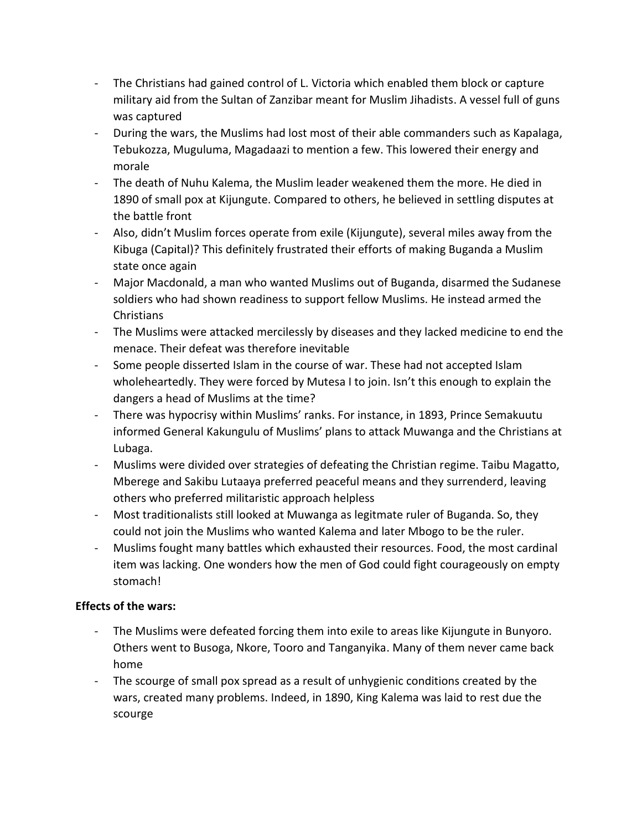- The Christians had gained control of L. Victoria which enabled them block or capture military aid from the Sultan of Zanzibar meant for Muslim Jihadists. A vessel full of guns was captured
- During the wars, the Muslims had lost most of their able commanders such as Kapalaga, Tebukozza, Muguluma, Magadaazi to mention a few. This lowered their energy and morale
- The death of Nuhu Kalema, the Muslim leader weakened them the more. He died in 1890 of small pox at Kijungute. Compared to others, he believed in settling disputes at the battle front
- Also, didn't Muslim forces operate from exile (Kijungute), several miles away from the Kibuga (Capital)? This definitely frustrated their efforts of making Buganda a Muslim state once again
- Major Macdonald, a man who wanted Muslims out of Buganda, disarmed the Sudanese soldiers who had shown readiness to support fellow Muslims. He instead armed the **Christians**
- The Muslims were attacked mercilessly by diseases and they lacked medicine to end the menace. Their defeat was therefore inevitable
- Some people disserted Islam in the course of war. These had not accepted Islam wholeheartedly. They were forced by Mutesa I to join. Isn't this enough to explain the dangers a head of Muslims at the time?
- There was hypocrisy within Muslims' ranks. For instance, in 1893, Prince Semakuutu informed General Kakungulu of Muslims' plans to attack Muwanga and the Christians at Lubaga.
- Muslims were divided over strategies of defeating the Christian regime. Taibu Magatto, Mberege and Sakibu Lutaaya preferred peaceful means and they surrenderd, leaving others who preferred militaristic approach helpless
- Most traditionalists still looked at Muwanga as legitmate ruler of Buganda. So, they could not join the Muslims who wanted Kalema and later Mbogo to be the ruler.
- Muslims fought many battles which exhausted their resources. Food, the most cardinal item was lacking. One wonders how the men of God could fight courageously on empty stomach!

## **Effects of the wars:**

- The Muslims were defeated forcing them into exile to areas like Kijungute in Bunyoro. Others went to Busoga, Nkore, Tooro and Tanganyika. Many of them never came back home
- The scourge of small pox spread as a result of unhygienic conditions created by the wars, created many problems. Indeed, in 1890, King Kalema was laid to rest due the scourge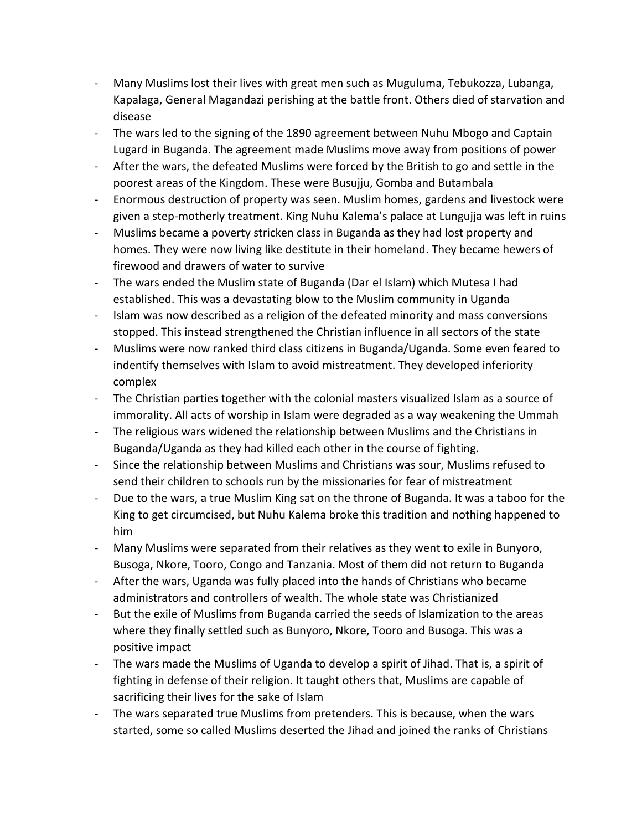- Many Muslims lost their lives with great men such as Muguluma, Tebukozza, Lubanga, Kapalaga, General Magandazi perishing at the battle front. Others died of starvation and disease
- The wars led to the signing of the 1890 agreement between Nuhu Mbogo and Captain Lugard in Buganda. The agreement made Muslims move away from positions of power
- After the wars, the defeated Muslims were forced by the British to go and settle in the poorest areas of the Kingdom. These were Busujju, Gomba and Butambala
- Enormous destruction of property was seen. Muslim homes, gardens and livestock were given a step-motherly treatment. King Nuhu Kalema's palace at Lungujja was left in ruins
- Muslims became a poverty stricken class in Buganda as they had lost property and homes. They were now living like destitute in their homeland. They became hewers of firewood and drawers of water to survive
- The wars ended the Muslim state of Buganda (Dar el Islam) which Mutesa I had established. This was a devastating blow to the Muslim community in Uganda
- Islam was now described as a religion of the defeated minority and mass conversions stopped. This instead strengthened the Christian influence in all sectors of the state
- Muslims were now ranked third class citizens in Buganda/Uganda. Some even feared to indentify themselves with Islam to avoid mistreatment. They developed inferiority complex
- The Christian parties together with the colonial masters visualized Islam as a source of immorality. All acts of worship in Islam were degraded as a way weakening the Ummah
- The religious wars widened the relationship between Muslims and the Christians in Buganda/Uganda as they had killed each other in the course of fighting.
- Since the relationship between Muslims and Christians was sour, Muslims refused to send their children to schools run by the missionaries for fear of mistreatment
- Due to the wars, a true Muslim King sat on the throne of Buganda. It was a taboo for the King to get circumcised, but Nuhu Kalema broke this tradition and nothing happened to him
- Many Muslims were separated from their relatives as they went to exile in Bunyoro, Busoga, Nkore, Tooro, Congo and Tanzania. Most of them did not return to Buganda
- After the wars, Uganda was fully placed into the hands of Christians who became administrators and controllers of wealth. The whole state was Christianized
- But the exile of Muslims from Buganda carried the seeds of Islamization to the areas where they finally settled such as Bunyoro, Nkore, Tooro and Busoga. This was a positive impact
- The wars made the Muslims of Uganda to develop a spirit of Jihad. That is, a spirit of fighting in defense of their religion. It taught others that, Muslims are capable of sacrificing their lives for the sake of Islam
- The wars separated true Muslims from pretenders. This is because, when the wars started, some so called Muslims deserted the Jihad and joined the ranks of Christians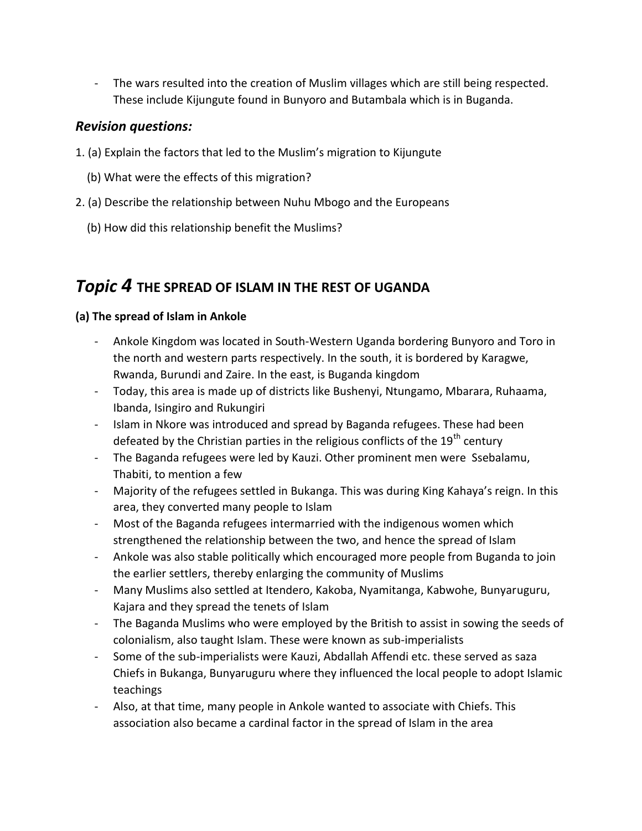- The wars resulted into the creation of Muslim villages which are still being respected. These include Kijungute found in Bunyoro and Butambala which is in Buganda.

## *Revision questions:*

- 1. (a) Explain the factors that led to the Muslim's migration to Kijungute
	- (b) What were the effects of this migration?
- 2. (a) Describe the relationship between Nuhu Mbogo and the Europeans
	- (b) How did this relationship benefit the Muslims?

# *Topic 4* **THE SPREAD OF ISLAM IN THE REST OF UGANDA**

#### **(a) The spread of Islam in Ankole**

- Ankole Kingdom was located in South-Western Uganda bordering Bunyoro and Toro in the north and western parts respectively. In the south, it is bordered by Karagwe, Rwanda, Burundi and Zaire. In the east, is Buganda kingdom
- Today, this area is made up of districts like Bushenyi, Ntungamo, Mbarara, Ruhaama, Ibanda, Isingiro and Rukungiri
- Islam in Nkore was introduced and spread by Baganda refugees. These had been defeated by the Christian parties in the religious conflicts of the  $19<sup>th</sup>$  century
- The Baganda refugees were led by Kauzi. Other prominent men were Ssebalamu, Thabiti, to mention a few
- Majority of the refugees settled in Bukanga. This was during King Kahaya's reign. In this area, they converted many people to Islam
- Most of the Baganda refugees intermarried with the indigenous women which strengthened the relationship between the two, and hence the spread of Islam
- Ankole was also stable politically which encouraged more people from Buganda to join the earlier settlers, thereby enlarging the community of Muslims
- Many Muslims also settled at Itendero, Kakoba, Nyamitanga, Kabwohe, Bunyaruguru, Kajara and they spread the tenets of Islam
- The Baganda Muslims who were employed by the British to assist in sowing the seeds of colonialism, also taught Islam. These were known as sub-imperialists
- Some of the sub-imperialists were Kauzi, Abdallah Affendi etc. these served as saza Chiefs in Bukanga, Bunyaruguru where they influenced the local people to adopt Islamic teachings
- Also, at that time, many people in Ankole wanted to associate with Chiefs. This association also became a cardinal factor in the spread of Islam in the area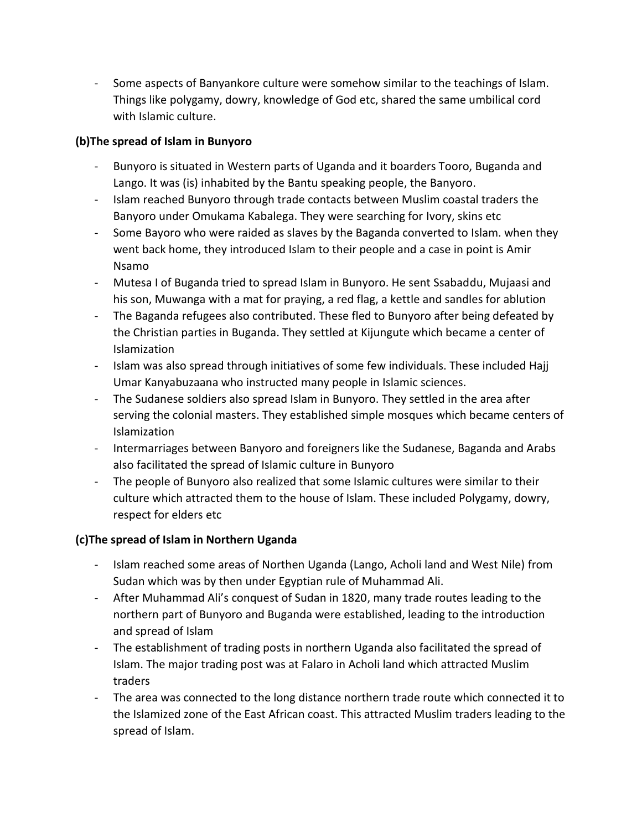- Some aspects of Banyankore culture were somehow similar to the teachings of Islam. Things like polygamy, dowry, knowledge of God etc, shared the same umbilical cord with Islamic culture.

#### **(b)The spread of Islam in Bunyoro**

- Bunyoro is situated in Western parts of Uganda and it boarders Tooro, Buganda and Lango. It was (is) inhabited by the Bantu speaking people, the Banyoro.
- Islam reached Bunyoro through trade contacts between Muslim coastal traders the Banyoro under Omukama Kabalega. They were searching for Ivory, skins etc
- Some Bayoro who were raided as slaves by the Baganda converted to Islam. when they went back home, they introduced Islam to their people and a case in point is Amir Nsamo
- Mutesa I of Buganda tried to spread Islam in Bunyoro. He sent Ssabaddu, Mujaasi and his son, Muwanga with a mat for praying, a red flag, a kettle and sandles for ablution
- The Baganda refugees also contributed. These fled to Bunyoro after being defeated by the Christian parties in Buganda. They settled at Kijungute which became a center of Islamization
- Islam was also spread through initiatives of some few individuals. These included Hajj Umar Kanyabuzaana who instructed many people in Islamic sciences.
- The Sudanese soldiers also spread Islam in Bunyoro. They settled in the area after serving the colonial masters. They established simple mosques which became centers of Islamization
- Intermarriages between Banyoro and foreigners like the Sudanese, Baganda and Arabs also facilitated the spread of Islamic culture in Bunyoro
- The people of Bunyoro also realized that some Islamic cultures were similar to their culture which attracted them to the house of Islam. These included Polygamy, dowry, respect for elders etc

## **(c)The spread of Islam in Northern Uganda**

- Islam reached some areas of Northen Uganda (Lango, Acholi land and West Nile) from Sudan which was by then under Egyptian rule of Muhammad Ali.
- After Muhammad Ali's conquest of Sudan in 1820, many trade routes leading to the northern part of Bunyoro and Buganda were established, leading to the introduction and spread of Islam
- The establishment of trading posts in northern Uganda also facilitated the spread of Islam. The major trading post was at Falaro in Acholi land which attracted Muslim traders
- The area was connected to the long distance northern trade route which connected it to the Islamized zone of the East African coast. This attracted Muslim traders leading to the spread of Islam.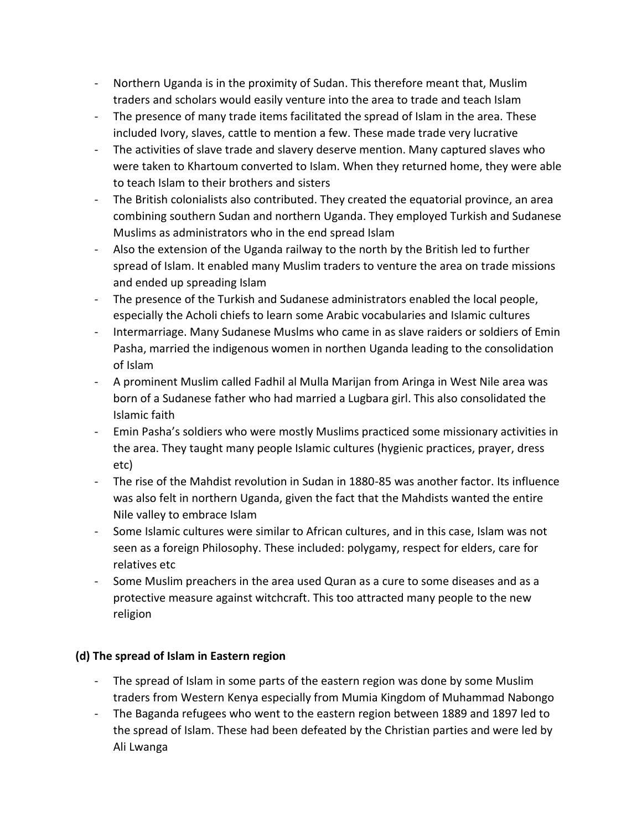- Northern Uganda is in the proximity of Sudan. This therefore meant that, Muslim traders and scholars would easily venture into the area to trade and teach Islam
- The presence of many trade items facilitated the spread of Islam in the area. These included Ivory, slaves, cattle to mention a few. These made trade very lucrative
- The activities of slave trade and slavery deserve mention. Many captured slaves who were taken to Khartoum converted to Islam. When they returned home, they were able to teach Islam to their brothers and sisters
- The British colonialists also contributed. They created the equatorial province, an area combining southern Sudan and northern Uganda. They employed Turkish and Sudanese Muslims as administrators who in the end spread Islam
- Also the extension of the Uganda railway to the north by the British led to further spread of Islam. It enabled many Muslim traders to venture the area on trade missions and ended up spreading Islam
- The presence of the Turkish and Sudanese administrators enabled the local people, especially the Acholi chiefs to learn some Arabic vocabularies and Islamic cultures
- Intermarriage. Many Sudanese Muslms who came in as slave raiders or soldiers of Emin Pasha, married the indigenous women in northen Uganda leading to the consolidation of Islam
- A prominent Muslim called Fadhil al Mulla Marijan from Aringa in West Nile area was born of a Sudanese father who had married a Lugbara girl. This also consolidated the Islamic faith
- Emin Pasha's soldiers who were mostly Muslims practiced some missionary activities in the area. They taught many people Islamic cultures (hygienic practices, prayer, dress etc)
- The rise of the Mahdist revolution in Sudan in 1880-85 was another factor. Its influence was also felt in northern Uganda, given the fact that the Mahdists wanted the entire Nile valley to embrace Islam
- Some Islamic cultures were similar to African cultures, and in this case, Islam was not seen as a foreign Philosophy. These included: polygamy, respect for elders, care for relatives etc
- Some Muslim preachers in the area used Quran as a cure to some diseases and as a protective measure against witchcraft. This too attracted many people to the new religion

## **(d) The spread of Islam in Eastern region**

- The spread of Islam in some parts of the eastern region was done by some Muslim traders from Western Kenya especially from Mumia Kingdom of Muhammad Nabongo
- The Baganda refugees who went to the eastern region between 1889 and 1897 led to the spread of Islam. These had been defeated by the Christian parties and were led by Ali Lwanga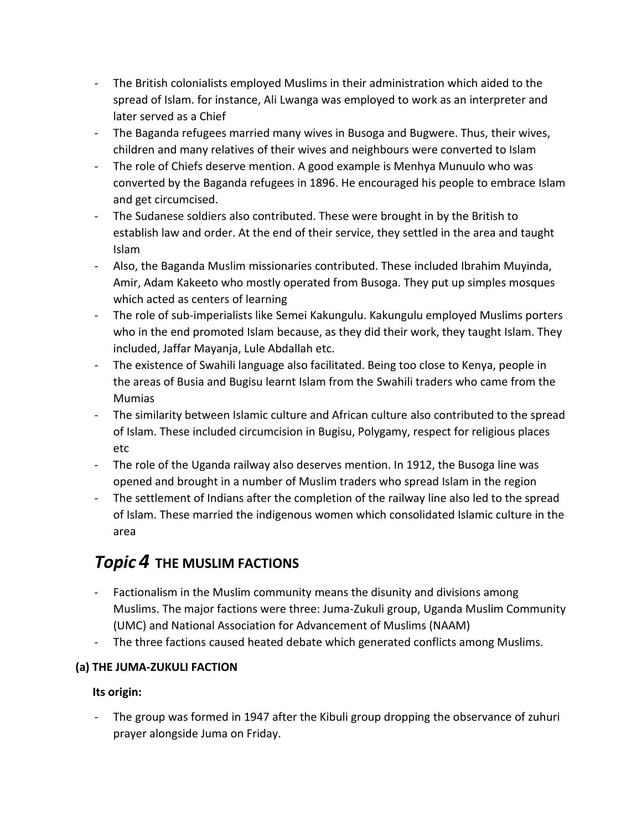- The British colonialists employed Muslims in their administration which aided to the spread of Islam. for instance, Ali Lwanga was employed to work as an interpreter and later served as a Chief
- The Baganda refugees married many wives in Busoga and Bugwere. Thus, their wives, children and many relatives of their wives and neighbours were converted to Islam
- The role of Chiefs deserve mention. A good example is Menhya Munuulo who was converted by the Baganda refugees in 1896. He encouraged his people to embrace Islam and get circumcised.
- The Sudanese soldiers also contributed. These were brought in by the British to establish law and order. At the end of their service, they settled in the area and taught Islam
- Also, the Baganda Muslim missionaries contributed. These included Ibrahim Muyinda, Amir, Adam Kakeeto who mostly operated from Busoga. They put up simples mosques which acted as centers of learning
- The role of sub-imperialists like Semei Kakungulu. Kakungulu employed Muslims porters who in the end promoted Islam because, as they did their work, they taught Islam. They included, Jaffar Mayanja, Lule Abdallah etc.
- The existence of Swahili language also facilitated. Being too close to Kenya, people in the areas of Busia and Bugisu learnt Islam from the Swahili traders who came from the Mumias
- The similarity between Islamic culture and African culture also contributed to the spread of Islam. These included circumcision in Bugisu, Polygamy, respect for religious places etc
- The role of the Uganda railway also deserves mention. In 1912, the Busoga line was opened and brought in a number of Muslim traders who spread Islam in the region
- The settlement of Indians after the completion of the railway line also led to the spread of Islam. These married the indigenous women which consolidated Islamic culture in the area

# *Topic 4* **THE MUSLIM FACTIONS**

- Factionalism in the Muslim community means the disunity and divisions among Muslims. The major factions were three: Juma-Zukuli group, Uganda Muslim Community (UMC) and National Association for Advancement of Muslims (NAAM)
- The three factions caused heated debate which generated conflicts among Muslims.

## **(a) THE JUMA-ZUKULI FACTION**

## **Its origin:**

The group was formed in 1947 after the Kibuli group dropping the observance of zuhuri prayer alongside Juma on Friday.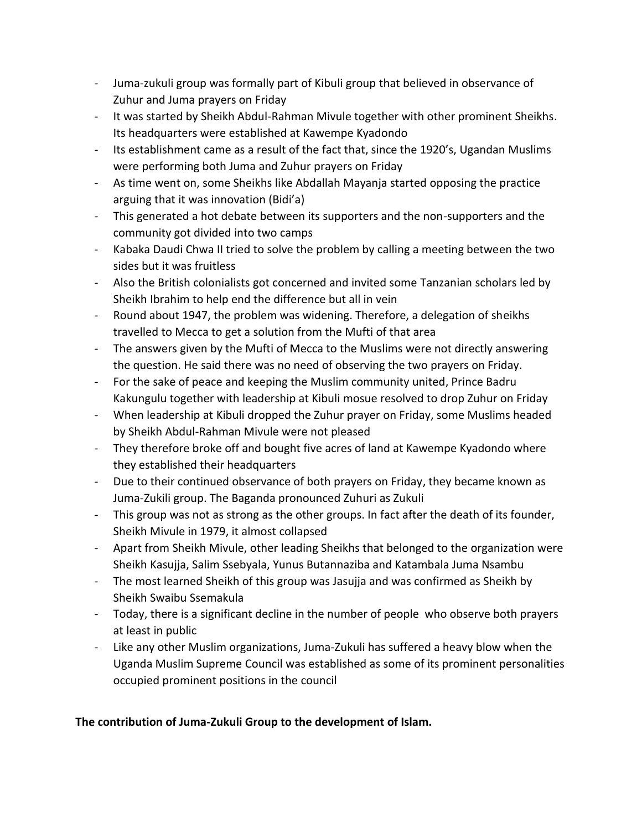- Juma-zukuli group was formally part of Kibuli group that believed in observance of Zuhur and Juma prayers on Friday
- It was started by Sheikh Abdul-Rahman Mivule together with other prominent Sheikhs. Its headquarters were established at Kawempe Kyadondo
- Its establishment came as a result of the fact that, since the 1920's, Ugandan Muslims were performing both Juma and Zuhur prayers on Friday
- As time went on, some Sheikhs like Abdallah Mayanja started opposing the practice arguing that it was innovation (Bidi'a)
- This generated a hot debate between its supporters and the non-supporters and the community got divided into two camps
- Kabaka Daudi Chwa II tried to solve the problem by calling a meeting between the two sides but it was fruitless
- Also the British colonialists got concerned and invited some Tanzanian scholars led by Sheikh Ibrahim to help end the difference but all in vein
- Round about 1947, the problem was widening. Therefore, a delegation of sheikhs travelled to Mecca to get a solution from the Mufti of that area
- The answers given by the Mufti of Mecca to the Muslims were not directly answering the question. He said there was no need of observing the two prayers on Friday.
- For the sake of peace and keeping the Muslim community united, Prince Badru Kakungulu together with leadership at Kibuli mosue resolved to drop Zuhur on Friday
- When leadership at Kibuli dropped the Zuhur prayer on Friday, some Muslims headed by Sheikh Abdul-Rahman Mivule were not pleased
- They therefore broke off and bought five acres of land at Kawempe Kyadondo where they established their headquarters
- Due to their continued observance of both prayers on Friday, they became known as Juma-Zukili group. The Baganda pronounced Zuhuri as Zukuli
- This group was not as strong as the other groups. In fact after the death of its founder, Sheikh Mivule in 1979, it almost collapsed
- Apart from Sheikh Mivule, other leading Sheikhs that belonged to the organization were Sheikh Kasujja, Salim Ssebyala, Yunus Butannaziba and Katambala Juma Nsambu
- The most learned Sheikh of this group was Jasujja and was confirmed as Sheikh by Sheikh Swaibu Ssemakula
- Today, there is a significant decline in the number of people who observe both prayers at least in public
- Like any other Muslim organizations, Juma-Zukuli has suffered a heavy blow when the Uganda Muslim Supreme Council was established as some of its prominent personalities occupied prominent positions in the council

## **The contribution of Juma-Zukuli Group to the development of Islam.**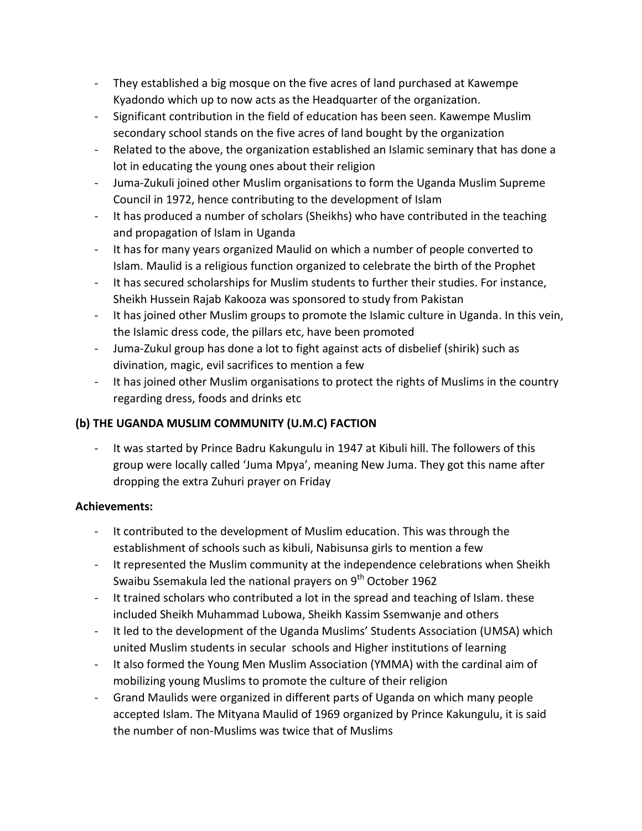- They established a big mosque on the five acres of land purchased at Kawempe Kyadondo which up to now acts as the Headquarter of the organization.
- Significant contribution in the field of education has been seen. Kawempe Muslim secondary school stands on the five acres of land bought by the organization
- Related to the above, the organization established an Islamic seminary that has done a lot in educating the young ones about their religion
- Juma-Zukuli joined other Muslim organisations to form the Uganda Muslim Supreme Council in 1972, hence contributing to the development of Islam
- It has produced a number of scholars (Sheikhs) who have contributed in the teaching and propagation of Islam in Uganda
- It has for many years organized Maulid on which a number of people converted to Islam. Maulid is a religious function organized to celebrate the birth of the Prophet
- It has secured scholarships for Muslim students to further their studies. For instance, Sheikh Hussein Rajab Kakooza was sponsored to study from Pakistan
- It has joined other Muslim groups to promote the Islamic culture in Uganda. In this vein, the Islamic dress code, the pillars etc, have been promoted
- Juma-Zukul group has done a lot to fight against acts of disbelief (shirik) such as divination, magic, evil sacrifices to mention a few
- It has joined other Muslim organisations to protect the rights of Muslims in the country regarding dress, foods and drinks etc

## **(b) THE UGANDA MUSLIM COMMUNITY (U.M.C) FACTION**

It was started by Prince Badru Kakungulu in 1947 at Kibuli hill. The followers of this group were locally called 'Juma Mpya', meaning New Juma. They got this name after dropping the extra Zuhuri prayer on Friday

## **Achievements:**

- It contributed to the development of Muslim education. This was through the establishment of schools such as kibuli, Nabisunsa girls to mention a few
- It represented the Muslim community at the independence celebrations when Sheikh Swaibu Ssemakula led the national prayers on  $9<sup>th</sup>$  October 1962
- It trained scholars who contributed a lot in the spread and teaching of Islam. these included Sheikh Muhammad Lubowa, Sheikh Kassim Ssemwanje and others
- It led to the development of the Uganda Muslims' Students Association (UMSA) which united Muslim students in secular schools and Higher institutions of learning
- It also formed the Young Men Muslim Association (YMMA) with the cardinal aim of mobilizing young Muslims to promote the culture of their religion
- Grand Maulids were organized in different parts of Uganda on which many people accepted Islam. The Mityana Maulid of 1969 organized by Prince Kakungulu, it is said the number of non-Muslims was twice that of Muslims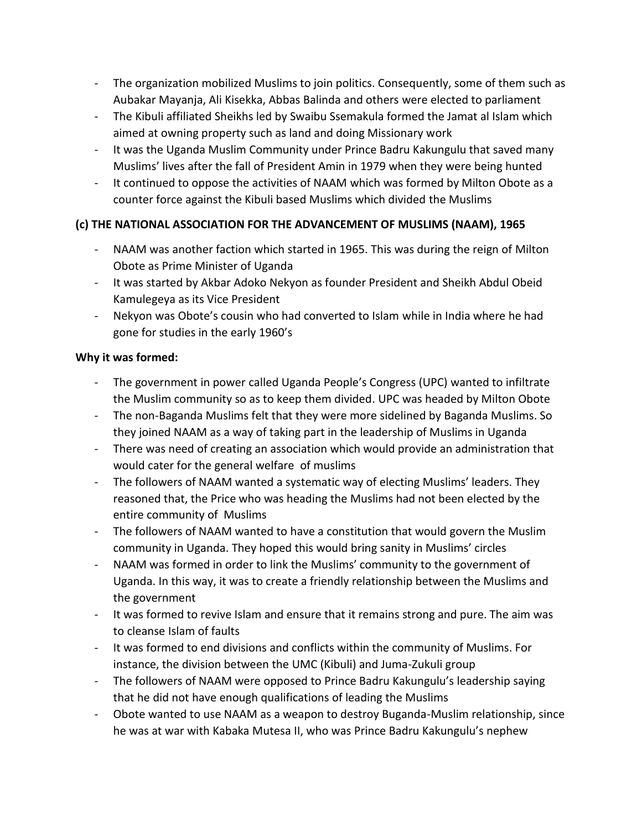- The organization mobilized Muslims to join politics. Consequently, some of them such as Aubakar Mayanja, Ali Kisekka, Abbas Balinda and others were elected to parliament
- The Kibuli affiliated Sheikhs led by Swaibu Ssemakula formed the Jamat al Islam which aimed at owning property such as land and doing Missionary work
- It was the Uganda Muslim Community under Prince Badru Kakungulu that saved many Muslims' lives after the fall of President Amin in 1979 when they were being hunted
- It continued to oppose the activities of NAAM which was formed by Milton Obote as a counter force against the Kibuli based Muslims which divided the Muslims

## **(c) THE NATIONAL ASSOCIATION FOR THE ADVANCEMENT OF MUSLIMS (NAAM), 1965**

- NAAM was another faction which started in 1965. This was during the reign of Milton Obote as Prime Minister of Uganda
- It was started by Akbar Adoko Nekyon as founder President and Sheikh Abdul Obeid Kamulegeya as its Vice President
- Nekyon was Obote's cousin who had converted to Islam while in India where he had gone for studies in the early 1960's

#### **Why it was formed:**

- The government in power called Uganda People's Congress (UPC) wanted to infiltrate the Muslim community so as to keep them divided. UPC was headed by Milton Obote
- The non-Baganda Muslims felt that they were more sidelined by Baganda Muslims. So they joined NAAM as a way of taking part in the leadership of Muslims in Uganda
- There was need of creating an association which would provide an administration that would cater for the general welfare of muslims
- The followers of NAAM wanted a systematic way of electing Muslims' leaders. They reasoned that, the Price who was heading the Muslims had not been elected by the entire community of Muslims
- The followers of NAAM wanted to have a constitution that would govern the Muslim community in Uganda. They hoped this would bring sanity in Muslims' circles
- NAAM was formed in order to link the Muslims' community to the government of Uganda. In this way, it was to create a friendly relationship between the Muslims and the government
- It was formed to revive Islam and ensure that it remains strong and pure. The aim was to cleanse Islam of faults
- It was formed to end divisions and conflicts within the community of Muslims. For instance, the division between the UMC (Kibuli) and Juma-Zukuli group
- The followers of NAAM were opposed to Prince Badru Kakungulu's leadership saying that he did not have enough qualifications of leading the Muslims
- Obote wanted to use NAAM as a weapon to destroy Buganda-Muslim relationship, since he was at war with Kabaka Mutesa II, who was Prince Badru Kakungulu's nephew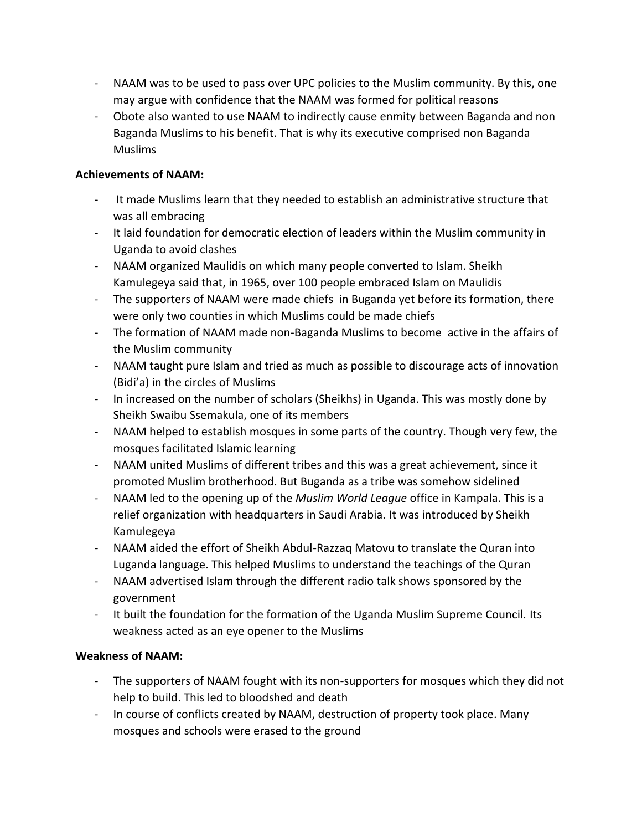- NAAM was to be used to pass over UPC policies to the Muslim community. By this, one may argue with confidence that the NAAM was formed for political reasons
- Obote also wanted to use NAAM to indirectly cause enmity between Baganda and non Baganda Muslims to his benefit. That is why its executive comprised non Baganda Muslims

#### **Achievements of NAAM:**

- It made Muslims learn that they needed to establish an administrative structure that was all embracing
- It laid foundation for democratic election of leaders within the Muslim community in Uganda to avoid clashes
- NAAM organized Maulidis on which many people converted to Islam. Sheikh Kamulegeya said that, in 1965, over 100 people embraced Islam on Maulidis
- The supporters of NAAM were made chiefs in Buganda yet before its formation, there were only two counties in which Muslims could be made chiefs
- The formation of NAAM made non-Baganda Muslims to become active in the affairs of the Muslim community
- NAAM taught pure Islam and tried as much as possible to discourage acts of innovation (Bidi'a) in the circles of Muslims
- In increased on the number of scholars (Sheikhs) in Uganda. This was mostly done by Sheikh Swaibu Ssemakula, one of its members
- NAAM helped to establish mosques in some parts of the country. Though very few, the mosques facilitated Islamic learning
- NAAM united Muslims of different tribes and this was a great achievement, since it promoted Muslim brotherhood. But Buganda as a tribe was somehow sidelined
- NAAM led to the opening up of the *Muslim World League* office in Kampala. This is a relief organization with headquarters in Saudi Arabia. It was introduced by Sheikh Kamulegeya
- NAAM aided the effort of Sheikh Abdul-Razzaq Matovu to translate the Quran into Luganda language. This helped Muslims to understand the teachings of the Quran
- NAAM advertised Islam through the different radio talk shows sponsored by the government
- It built the foundation for the formation of the Uganda Muslim Supreme Council. Its weakness acted as an eye opener to the Muslims

#### **Weakness of NAAM:**

- The supporters of NAAM fought with its non-supporters for mosques which they did not help to build. This led to bloodshed and death
- In course of conflicts created by NAAM, destruction of property took place. Many mosques and schools were erased to the ground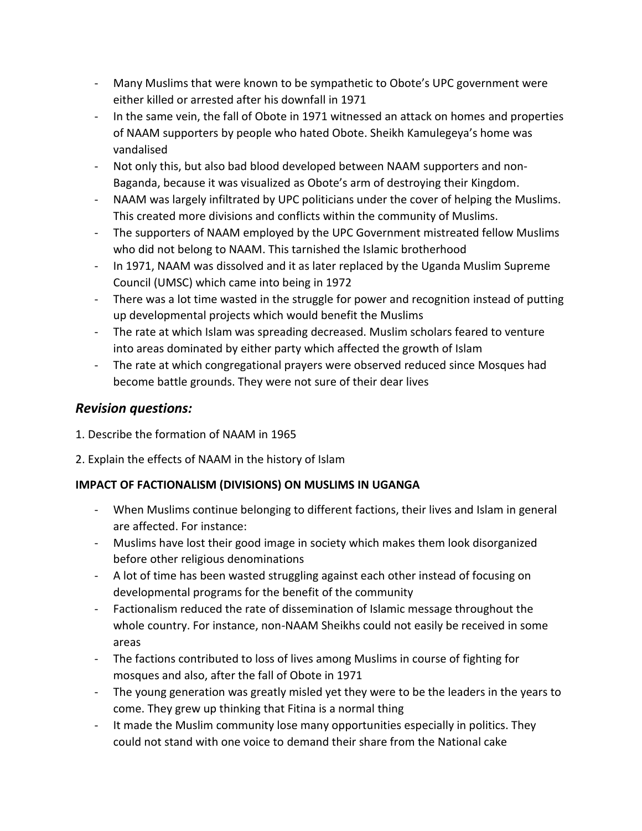- Many Muslims that were known to be sympathetic to Obote's UPC government were either killed or arrested after his downfall in 1971
- In the same vein, the fall of Obote in 1971 witnessed an attack on homes and properties of NAAM supporters by people who hated Obote. Sheikh Kamulegeya's home was vandalised
- Not only this, but also bad blood developed between NAAM supporters and non-Baganda, because it was visualized as Obote's arm of destroying their Kingdom.
- NAAM was largely infiltrated by UPC politicians under the cover of helping the Muslims. This created more divisions and conflicts within the community of Muslims.
- The supporters of NAAM employed by the UPC Government mistreated fellow Muslims who did not belong to NAAM. This tarnished the Islamic brotherhood
- In 1971, NAAM was dissolved and it as later replaced by the Uganda Muslim Supreme Council (UMSC) which came into being in 1972
- There was a lot time wasted in the struggle for power and recognition instead of putting up developmental projects which would benefit the Muslims
- The rate at which Islam was spreading decreased. Muslim scholars feared to venture into areas dominated by either party which affected the growth of Islam
- The rate at which congregational prayers were observed reduced since Mosques had become battle grounds. They were not sure of their dear lives

## *Revision questions:*

- 1. Describe the formation of NAAM in 1965
- 2. Explain the effects of NAAM in the history of Islam

## **IMPACT OF FACTIONALISM (DIVISIONS) ON MUSLIMS IN UGANGA**

- When Muslims continue belonging to different factions, their lives and Islam in general are affected. For instance:
- Muslims have lost their good image in society which makes them look disorganized before other religious denominations
- A lot of time has been wasted struggling against each other instead of focusing on developmental programs for the benefit of the community
- Factionalism reduced the rate of dissemination of Islamic message throughout the whole country. For instance, non-NAAM Sheikhs could not easily be received in some areas
- The factions contributed to loss of lives among Muslims in course of fighting for mosques and also, after the fall of Obote in 1971
- The young generation was greatly misled yet they were to be the leaders in the years to come. They grew up thinking that Fitina is a normal thing
- It made the Muslim community lose many opportunities especially in politics. They could not stand with one voice to demand their share from the National cake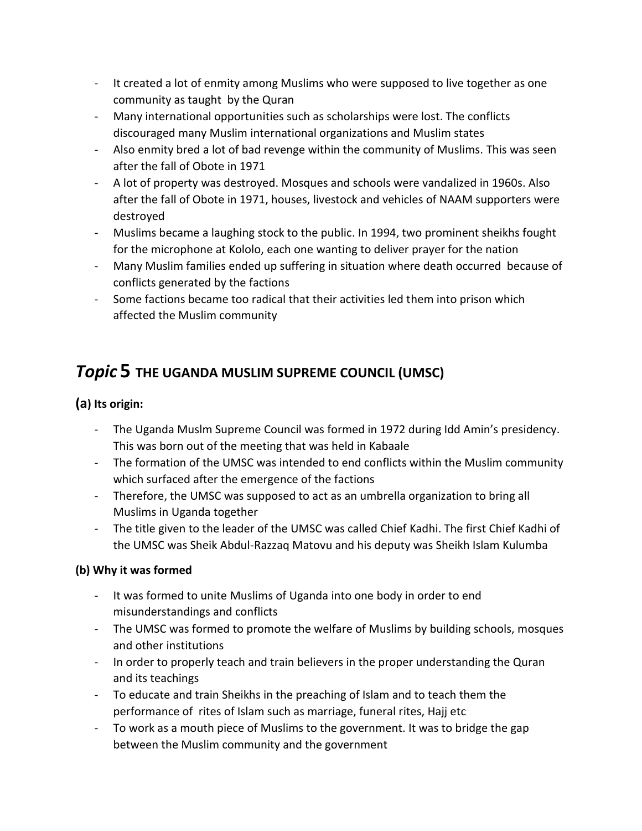- It created a lot of enmity among Muslims who were supposed to live together as one community as taught by the Quran
- Many international opportunities such as scholarships were lost. The conflicts discouraged many Muslim international organizations and Muslim states
- Also enmity bred a lot of bad revenge within the community of Muslims. This was seen after the fall of Obote in 1971
- A lot of property was destroyed. Mosques and schools were vandalized in 1960s. Also after the fall of Obote in 1971, houses, livestock and vehicles of NAAM supporters were destroyed
- Muslims became a laughing stock to the public. In 1994, two prominent sheikhs fought for the microphone at Kololo, each one wanting to deliver prayer for the nation
- Many Muslim families ended up suffering in situation where death occurred because of conflicts generated by the factions
- Some factions became too radical that their activities led them into prison which affected the Muslim community

# *Topic* **5 THE UGANDA MUSLIM SUPREME COUNCIL (UMSC)**

## **(a) Its origin:**

- The Uganda Muslm Supreme Council was formed in 1972 during Idd Amin's presidency. This was born out of the meeting that was held in Kabaale
- The formation of the UMSC was intended to end conflicts within the Muslim community which surfaced after the emergence of the factions
- Therefore, the UMSC was supposed to act as an umbrella organization to bring all Muslims in Uganda together
- The title given to the leader of the UMSC was called Chief Kadhi. The first Chief Kadhi of the UMSC was Sheik Abdul-Razzaq Matovu and his deputy was Sheikh Islam Kulumba

## **(b) Why it was formed**

- It was formed to unite Muslims of Uganda into one body in order to end misunderstandings and conflicts
- The UMSC was formed to promote the welfare of Muslims by building schools, mosques and other institutions
- In order to properly teach and train believers in the proper understanding the Quran and its teachings
- To educate and train Sheikhs in the preaching of Islam and to teach them the performance of rites of Islam such as marriage, funeral rites, Hajj etc
- To work as a mouth piece of Muslims to the government. It was to bridge the gap between the Muslim community and the government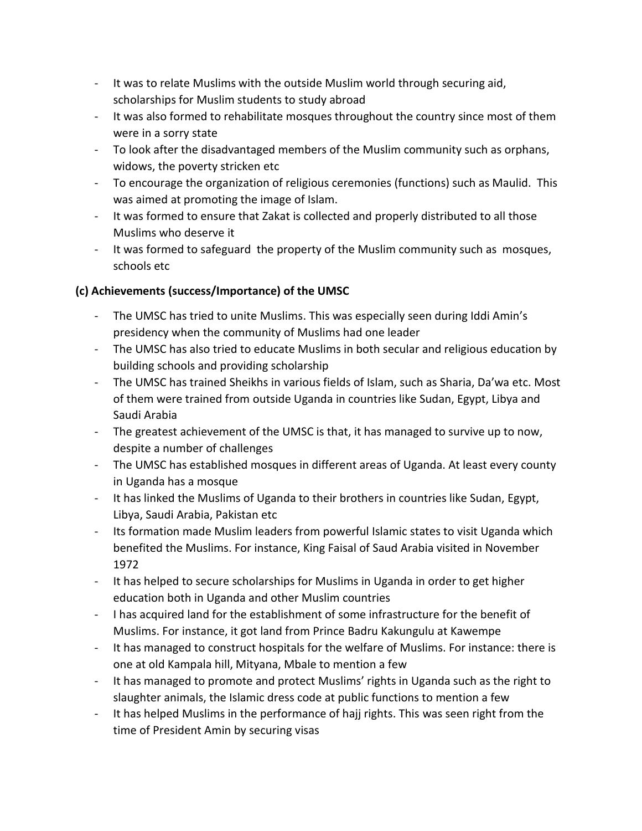- It was to relate Muslims with the outside Muslim world through securing aid, scholarships for Muslim students to study abroad
- It was also formed to rehabilitate mosques throughout the country since most of them were in a sorry state
- To look after the disadvantaged members of the Muslim community such as orphans, widows, the poverty stricken etc
- To encourage the organization of religious ceremonies (functions) such as Maulid. This was aimed at promoting the image of Islam.
- It was formed to ensure that Zakat is collected and properly distributed to all those Muslims who deserve it
- It was formed to safeguard the property of the Muslim community such as mosques, schools etc

## **(c) Achievements (success/Importance) of the UMSC**

- The UMSC has tried to unite Muslims. This was especially seen during Iddi Amin's presidency when the community of Muslims had one leader
- The UMSC has also tried to educate Muslims in both secular and religious education by building schools and providing scholarship
- The UMSC has trained Sheikhs in various fields of Islam, such as Sharia, Da'wa etc. Most of them were trained from outside Uganda in countries like Sudan, Egypt, Libya and Saudi Arabia
- The greatest achievement of the UMSC is that, it has managed to survive up to now, despite a number of challenges
- The UMSC has established mosques in different areas of Uganda. At least every county in Uganda has a mosque
- It has linked the Muslims of Uganda to their brothers in countries like Sudan, Egypt, Libya, Saudi Arabia, Pakistan etc
- Its formation made Muslim leaders from powerful Islamic states to visit Uganda which benefited the Muslims. For instance, King Faisal of Saud Arabia visited in November 1972
- It has helped to secure scholarships for Muslims in Uganda in order to get higher education both in Uganda and other Muslim countries
- I has acquired land for the establishment of some infrastructure for the benefit of Muslims. For instance, it got land from Prince Badru Kakungulu at Kawempe
- It has managed to construct hospitals for the welfare of Muslims. For instance: there is one at old Kampala hill, Mityana, Mbale to mention a few
- It has managed to promote and protect Muslims' rights in Uganda such as the right to slaughter animals, the Islamic dress code at public functions to mention a few
- It has helped Muslims in the performance of hajj rights. This was seen right from the time of President Amin by securing visas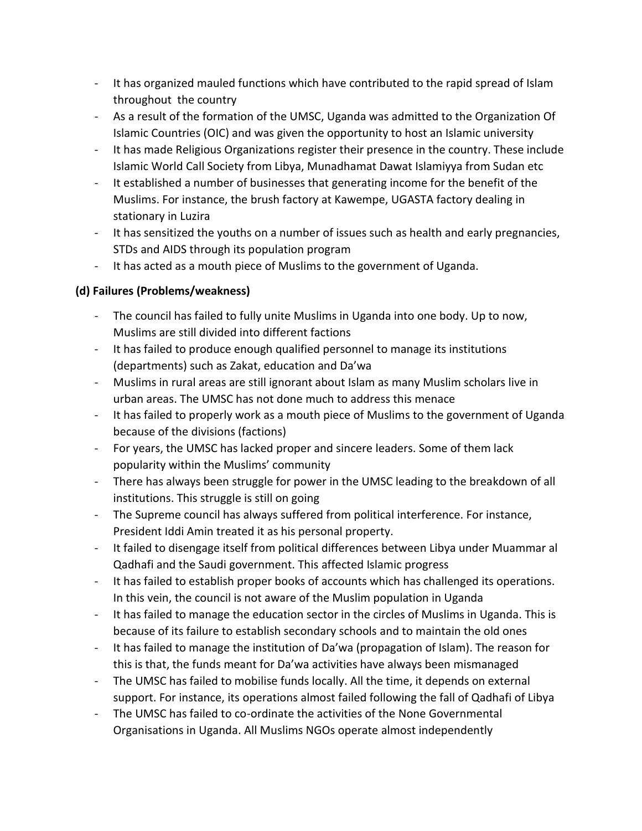- It has organized mauled functions which have contributed to the rapid spread of Islam throughout the country
- As a result of the formation of the UMSC, Uganda was admitted to the Organization Of Islamic Countries (OIC) and was given the opportunity to host an Islamic university
- It has made Religious Organizations register their presence in the country. These include Islamic World Call Society from Libya, Munadhamat Dawat Islamiyya from Sudan etc
- It established a number of businesses that generating income for the benefit of the Muslims. For instance, the brush factory at Kawempe, UGASTA factory dealing in stationary in Luzira
- It has sensitized the youths on a number of issues such as health and early pregnancies, STDs and AIDS through its population program
- It has acted as a mouth piece of Muslims to the government of Uganda.

## **(d) Failures (Problems/weakness)**

- The council has failed to fully unite Muslims in Uganda into one body. Up to now, Muslims are still divided into different factions
- It has failed to produce enough qualified personnel to manage its institutions (departments) such as Zakat, education and Da'wa
- Muslims in rural areas are still ignorant about Islam as many Muslim scholars live in urban areas. The UMSC has not done much to address this menace
- It has failed to properly work as a mouth piece of Muslims to the government of Uganda because of the divisions (factions)
- For years, the UMSC has lacked proper and sincere leaders. Some of them lack popularity within the Muslims' community
- There has always been struggle for power in the UMSC leading to the breakdown of all institutions. This struggle is still on going
- The Supreme council has always suffered from political interference. For instance, President Iddi Amin treated it as his personal property.
- It failed to disengage itself from political differences between Libya under Muammar al Qadhafi and the Saudi government. This affected Islamic progress
- It has failed to establish proper books of accounts which has challenged its operations. In this vein, the council is not aware of the Muslim population in Uganda
- It has failed to manage the education sector in the circles of Muslims in Uganda. This is because of its failure to establish secondary schools and to maintain the old ones
- It has failed to manage the institution of Da'wa (propagation of Islam). The reason for this is that, the funds meant for Da'wa activities have always been mismanaged
- The UMSC has failed to mobilise funds locally. All the time, it depends on external support. For instance, its operations almost failed following the fall of Qadhafi of Libya
- The UMSC has failed to co-ordinate the activities of the None Governmental Organisations in Uganda. All Muslims NGOs operate almost independently